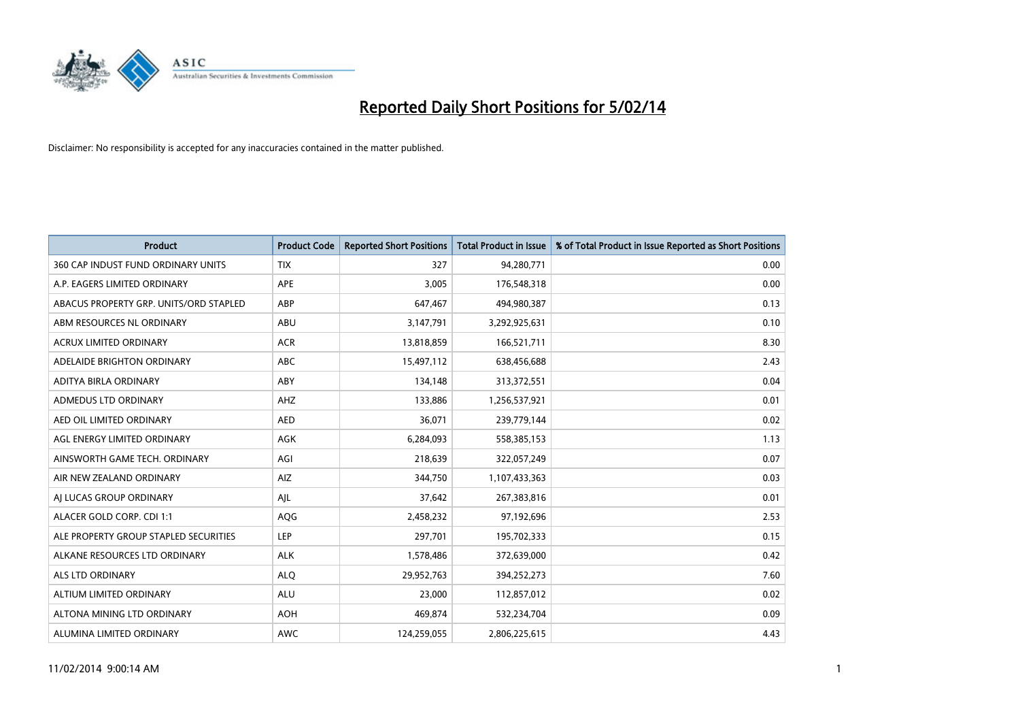

| <b>Product</b>                         | <b>Product Code</b> | <b>Reported Short Positions</b> | <b>Total Product in Issue</b> | % of Total Product in Issue Reported as Short Positions |
|----------------------------------------|---------------------|---------------------------------|-------------------------------|---------------------------------------------------------|
| 360 CAP INDUST FUND ORDINARY UNITS     | <b>TIX</b>          | 327                             | 94,280,771                    | 0.00                                                    |
| A.P. EAGERS LIMITED ORDINARY           | <b>APE</b>          | 3,005                           | 176,548,318                   | 0.00                                                    |
| ABACUS PROPERTY GRP. UNITS/ORD STAPLED | ABP                 | 647,467                         | 494,980,387                   | 0.13                                                    |
| ABM RESOURCES NL ORDINARY              | ABU                 | 3,147,791                       | 3,292,925,631                 | 0.10                                                    |
| <b>ACRUX LIMITED ORDINARY</b>          | <b>ACR</b>          | 13,818,859                      | 166,521,711                   | 8.30                                                    |
| ADELAIDE BRIGHTON ORDINARY             | <b>ABC</b>          | 15,497,112                      | 638,456,688                   | 2.43                                                    |
| ADITYA BIRLA ORDINARY                  | ABY                 | 134,148                         | 313,372,551                   | 0.04                                                    |
| ADMEDUS LTD ORDINARY                   | AHZ                 | 133,886                         | 1,256,537,921                 | 0.01                                                    |
| AED OIL LIMITED ORDINARY               | <b>AED</b>          | 36,071                          | 239,779,144                   | 0.02                                                    |
| AGL ENERGY LIMITED ORDINARY            | <b>AGK</b>          | 6,284,093                       | 558,385,153                   | 1.13                                                    |
| AINSWORTH GAME TECH. ORDINARY          | AGI                 | 218,639                         | 322,057,249                   | 0.07                                                    |
| AIR NEW ZEALAND ORDINARY               | AIZ                 | 344,750                         | 1,107,433,363                 | 0.03                                                    |
| AI LUCAS GROUP ORDINARY                | AJL                 | 37,642                          | 267,383,816                   | 0.01                                                    |
| ALACER GOLD CORP. CDI 1:1              | AQG                 | 2,458,232                       | 97,192,696                    | 2.53                                                    |
| ALE PROPERTY GROUP STAPLED SECURITIES  | LEP                 | 297,701                         | 195,702,333                   | 0.15                                                    |
| ALKANE RESOURCES LTD ORDINARY          | <b>ALK</b>          | 1,578,486                       | 372,639,000                   | 0.42                                                    |
| ALS LTD ORDINARY                       | <b>ALQ</b>          | 29,952,763                      | 394,252,273                   | 7.60                                                    |
| ALTIUM LIMITED ORDINARY                | ALU                 | 23,000                          | 112,857,012                   | 0.02                                                    |
| ALTONA MINING LTD ORDINARY             | <b>AOH</b>          | 469,874                         | 532,234,704                   | 0.09                                                    |
| ALUMINA LIMITED ORDINARY               | AWC                 | 124,259,055                     | 2,806,225,615                 | 4.43                                                    |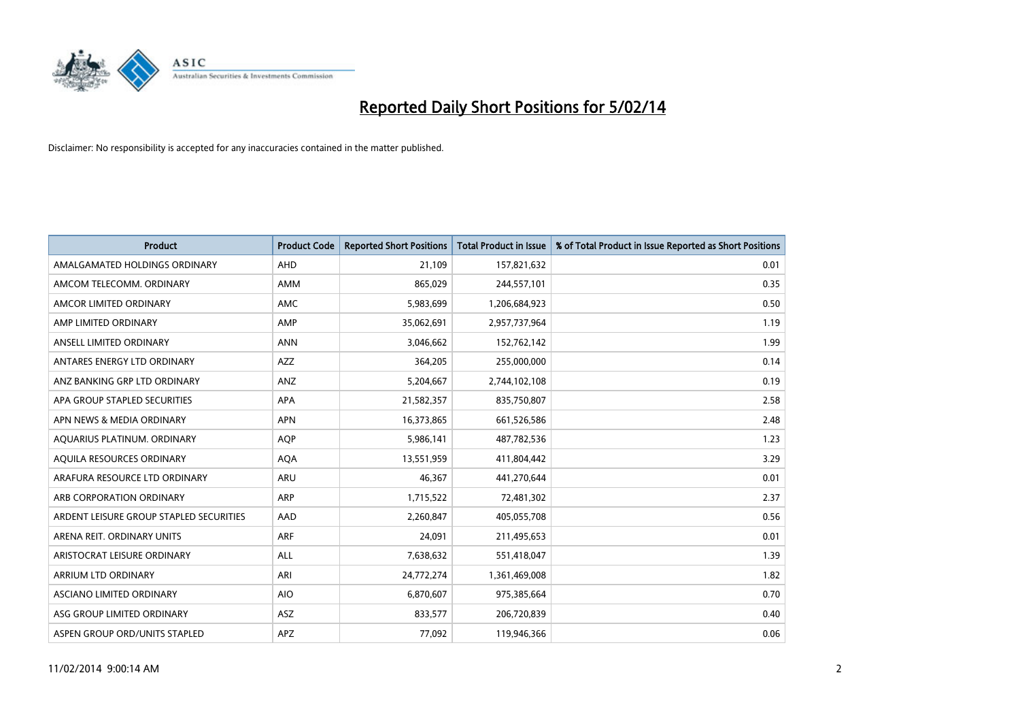

| <b>Product</b>                          | <b>Product Code</b> | <b>Reported Short Positions</b> | <b>Total Product in Issue</b> | % of Total Product in Issue Reported as Short Positions |
|-----------------------------------------|---------------------|---------------------------------|-------------------------------|---------------------------------------------------------|
| AMALGAMATED HOLDINGS ORDINARY           | AHD                 | 21,109                          | 157,821,632                   | 0.01                                                    |
| AMCOM TELECOMM. ORDINARY                | AMM                 | 865,029                         | 244,557,101                   | 0.35                                                    |
| AMCOR LIMITED ORDINARY                  | AMC                 | 5,983,699                       | 1,206,684,923                 | 0.50                                                    |
| AMP LIMITED ORDINARY                    | AMP                 | 35,062,691                      | 2,957,737,964                 | 1.19                                                    |
| ANSELL LIMITED ORDINARY                 | <b>ANN</b>          | 3,046,662                       | 152,762,142                   | 1.99                                                    |
| ANTARES ENERGY LTD ORDINARY             | <b>AZZ</b>          | 364,205                         | 255,000,000                   | 0.14                                                    |
| ANZ BANKING GRP LTD ORDINARY            | ANZ                 | 5,204,667                       | 2,744,102,108                 | 0.19                                                    |
| APA GROUP STAPLED SECURITIES            | APA                 | 21,582,357                      | 835,750,807                   | 2.58                                                    |
| APN NEWS & MEDIA ORDINARY               | <b>APN</b>          | 16,373,865                      | 661,526,586                   | 2.48                                                    |
| AQUARIUS PLATINUM. ORDINARY             | <b>AOP</b>          | 5,986,141                       | 487,782,536                   | 1.23                                                    |
| AQUILA RESOURCES ORDINARY               | <b>AQA</b>          | 13,551,959                      | 411,804,442                   | 3.29                                                    |
| ARAFURA RESOURCE LTD ORDINARY           | ARU                 | 46,367                          | 441,270,644                   | 0.01                                                    |
| ARB CORPORATION ORDINARY                | ARP                 | 1,715,522                       | 72,481,302                    | 2.37                                                    |
| ARDENT LEISURE GROUP STAPLED SECURITIES | AAD                 | 2,260,847                       | 405,055,708                   | 0.56                                                    |
| ARENA REIT. ORDINARY UNITS              | <b>ARF</b>          | 24,091                          | 211,495,653                   | 0.01                                                    |
| ARISTOCRAT LEISURE ORDINARY             | ALL                 | 7,638,632                       | 551,418,047                   | 1.39                                                    |
| ARRIUM LTD ORDINARY                     | ARI                 | 24,772,274                      | 1,361,469,008                 | 1.82                                                    |
| ASCIANO LIMITED ORDINARY                | <b>AIO</b>          | 6,870,607                       | 975,385,664                   | 0.70                                                    |
| ASG GROUP LIMITED ORDINARY              | ASZ                 | 833,577                         | 206,720,839                   | 0.40                                                    |
| ASPEN GROUP ORD/UNITS STAPLED           | APZ                 | 77,092                          | 119,946,366                   | 0.06                                                    |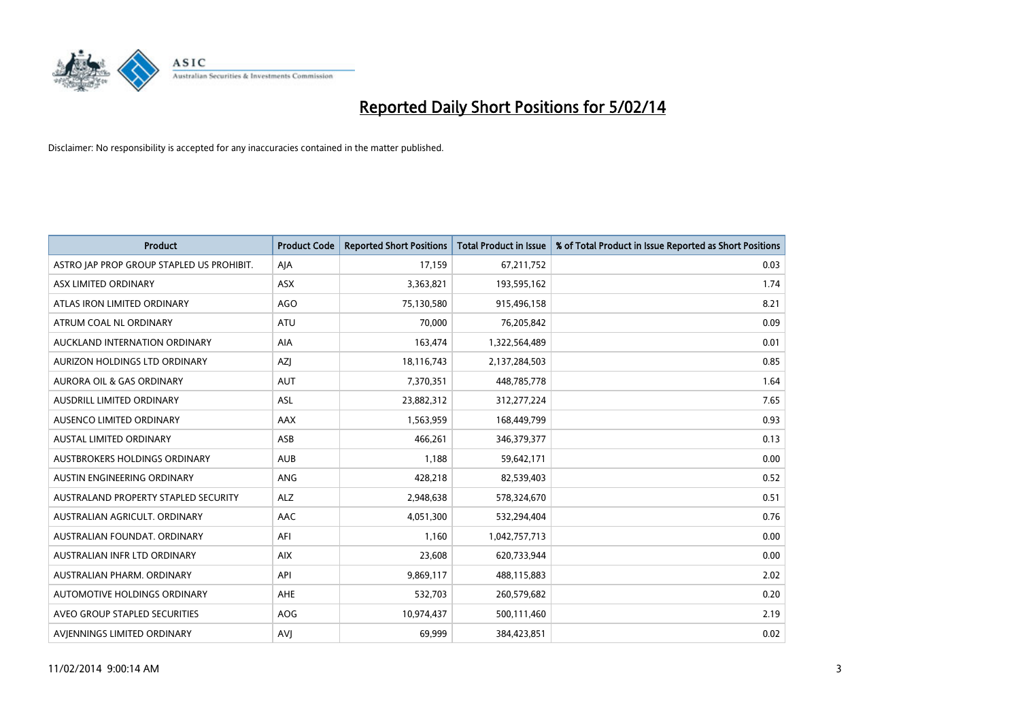

| <b>Product</b>                            | <b>Product Code</b> | <b>Reported Short Positions</b> | <b>Total Product in Issue</b> | % of Total Product in Issue Reported as Short Positions |
|-------------------------------------------|---------------------|---------------------------------|-------------------------------|---------------------------------------------------------|
| ASTRO JAP PROP GROUP STAPLED US PROHIBIT. | AJA                 | 17,159                          | 67,211,752                    | 0.03                                                    |
| ASX LIMITED ORDINARY                      | ASX                 | 3,363,821                       | 193,595,162                   | 1.74                                                    |
| ATLAS IRON LIMITED ORDINARY               | <b>AGO</b>          | 75,130,580                      | 915,496,158                   | 8.21                                                    |
| ATRUM COAL NL ORDINARY                    | <b>ATU</b>          | 70,000                          | 76,205,842                    | 0.09                                                    |
| AUCKLAND INTERNATION ORDINARY             | AIA                 | 163,474                         | 1,322,564,489                 | 0.01                                                    |
| AURIZON HOLDINGS LTD ORDINARY             | AZJ                 | 18,116,743                      | 2,137,284,503                 | 0.85                                                    |
| AURORA OIL & GAS ORDINARY                 | <b>AUT</b>          | 7,370,351                       | 448,785,778                   | 1.64                                                    |
| AUSDRILL LIMITED ORDINARY                 | ASL                 | 23,882,312                      | 312,277,224                   | 7.65                                                    |
| AUSENCO LIMITED ORDINARY                  | AAX                 | 1,563,959                       | 168,449,799                   | 0.93                                                    |
| <b>AUSTAL LIMITED ORDINARY</b>            | ASB                 | 466,261                         | 346,379,377                   | 0.13                                                    |
| AUSTBROKERS HOLDINGS ORDINARY             | <b>AUB</b>          | 1,188                           | 59,642,171                    | 0.00                                                    |
| AUSTIN ENGINEERING ORDINARY               | ANG                 | 428,218                         | 82,539,403                    | 0.52                                                    |
| AUSTRALAND PROPERTY STAPLED SECURITY      | <b>ALZ</b>          | 2,948,638                       | 578,324,670                   | 0.51                                                    |
| AUSTRALIAN AGRICULT, ORDINARY             | AAC                 | 4,051,300                       | 532,294,404                   | 0.76                                                    |
| AUSTRALIAN FOUNDAT, ORDINARY              | AFI                 | 1,160                           | 1,042,757,713                 | 0.00                                                    |
| AUSTRALIAN INFR LTD ORDINARY              | <b>AIX</b>          | 23,608                          | 620,733,944                   | 0.00                                                    |
| AUSTRALIAN PHARM, ORDINARY                | API                 | 9,869,117                       | 488,115,883                   | 2.02                                                    |
| AUTOMOTIVE HOLDINGS ORDINARY              | AHE                 | 532,703                         | 260,579,682                   | 0.20                                                    |
| AVEO GROUP STAPLED SECURITIES             | <b>AOG</b>          | 10,974,437                      | 500,111,460                   | 2.19                                                    |
| AVIENNINGS LIMITED ORDINARY               | <b>AVJ</b>          | 69,999                          | 384,423,851                   | 0.02                                                    |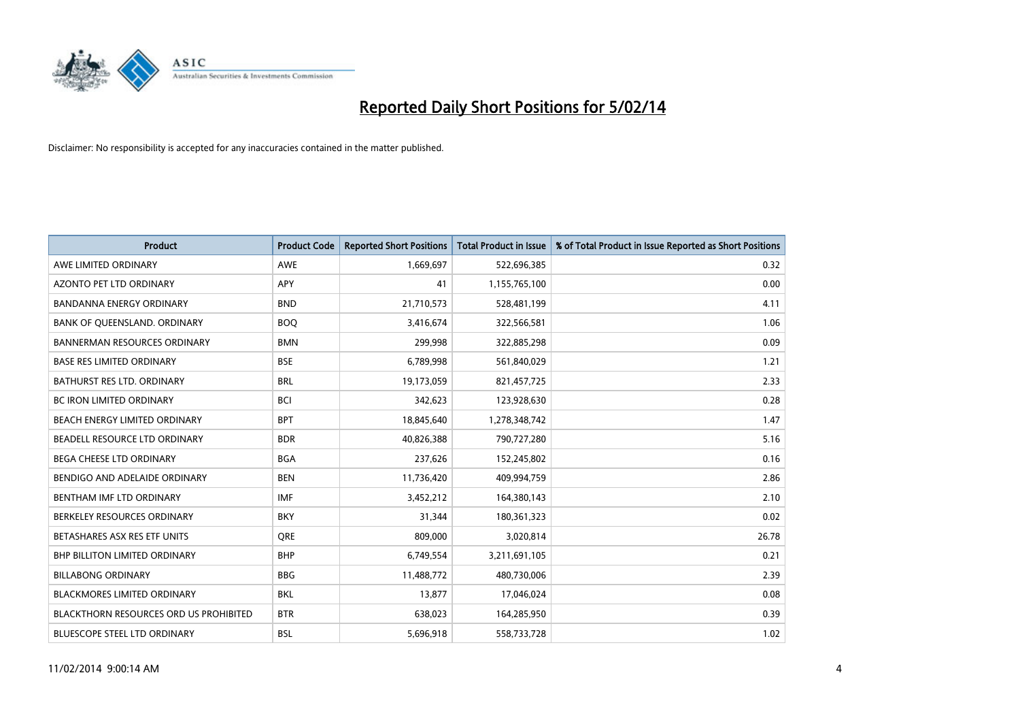

| <b>Product</b>                                | <b>Product Code</b> | <b>Reported Short Positions</b> | <b>Total Product in Issue</b> | % of Total Product in Issue Reported as Short Positions |
|-----------------------------------------------|---------------------|---------------------------------|-------------------------------|---------------------------------------------------------|
| AWE LIMITED ORDINARY                          | <b>AWE</b>          | 1,669,697                       | 522,696,385                   | 0.32                                                    |
| AZONTO PET LTD ORDINARY                       | APY                 | 41                              | 1,155,765,100                 | 0.00                                                    |
| <b>BANDANNA ENERGY ORDINARY</b>               | <b>BND</b>          | 21,710,573                      | 528,481,199                   | 4.11                                                    |
| BANK OF QUEENSLAND. ORDINARY                  | <b>BOO</b>          | 3,416,674                       | 322,566,581                   | 1.06                                                    |
| <b>BANNERMAN RESOURCES ORDINARY</b>           | <b>BMN</b>          | 299,998                         | 322,885,298                   | 0.09                                                    |
| <b>BASE RES LIMITED ORDINARY</b>              | <b>BSE</b>          | 6,789,998                       | 561,840,029                   | 1.21                                                    |
| <b>BATHURST RES LTD. ORDINARY</b>             | <b>BRL</b>          | 19,173,059                      | 821,457,725                   | 2.33                                                    |
| BC IRON LIMITED ORDINARY                      | <b>BCI</b>          | 342,623                         | 123,928,630                   | 0.28                                                    |
| BEACH ENERGY LIMITED ORDINARY                 | <b>BPT</b>          | 18,845,640                      | 1,278,348,742                 | 1.47                                                    |
| BEADELL RESOURCE LTD ORDINARY                 | <b>BDR</b>          | 40,826,388                      | 790,727,280                   | 5.16                                                    |
| BEGA CHEESE LTD ORDINARY                      | <b>BGA</b>          | 237,626                         | 152,245,802                   | 0.16                                                    |
| BENDIGO AND ADELAIDE ORDINARY                 | <b>BEN</b>          | 11,736,420                      | 409,994,759                   | 2.86                                                    |
| BENTHAM IMF LTD ORDINARY                      | <b>IMF</b>          | 3,452,212                       | 164,380,143                   | 2.10                                                    |
| BERKELEY RESOURCES ORDINARY                   | <b>BKY</b>          | 31,344                          | 180,361,323                   | 0.02                                                    |
| BETASHARES ASX RES ETF UNITS                  | <b>ORE</b>          | 809,000                         | 3,020,814                     | 26.78                                                   |
| <b>BHP BILLITON LIMITED ORDINARY</b>          | <b>BHP</b>          | 6,749,554                       | 3,211,691,105                 | 0.21                                                    |
| <b>BILLABONG ORDINARY</b>                     | <b>BBG</b>          | 11,488,772                      | 480,730,006                   | 2.39                                                    |
| <b>BLACKMORES LIMITED ORDINARY</b>            | <b>BKL</b>          | 13,877                          | 17,046,024                    | 0.08                                                    |
| <b>BLACKTHORN RESOURCES ORD US PROHIBITED</b> | <b>BTR</b>          | 638,023                         | 164,285,950                   | 0.39                                                    |
| BLUESCOPE STEEL LTD ORDINARY                  | <b>BSL</b>          | 5,696,918                       | 558,733,728                   | 1.02                                                    |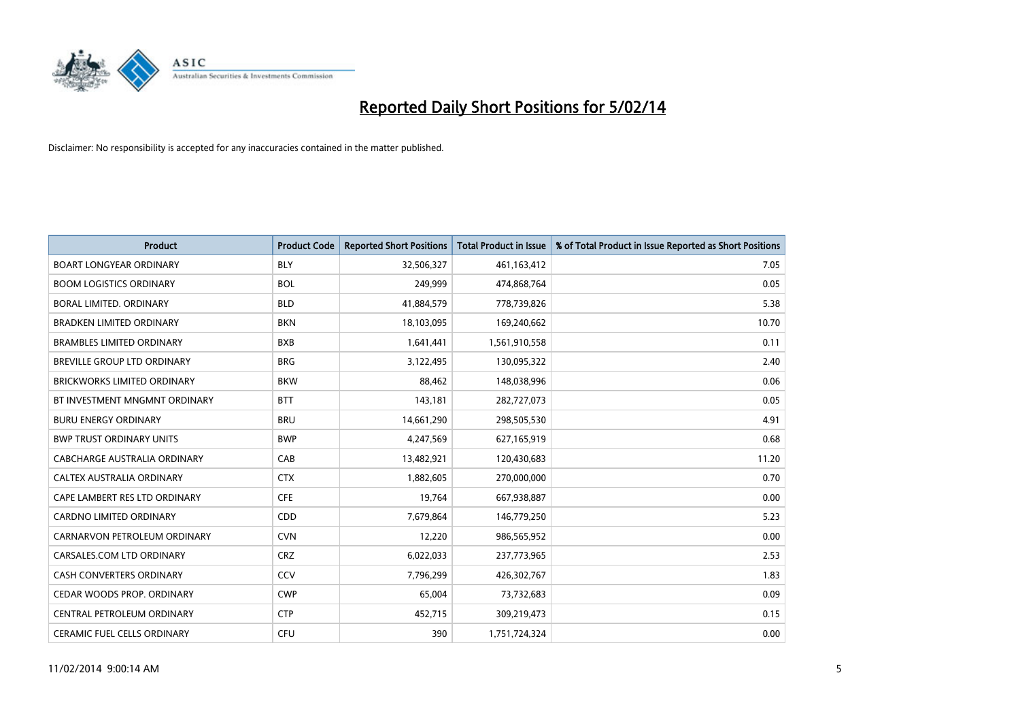

| <b>Product</b>                     | <b>Product Code</b> | <b>Reported Short Positions</b> | <b>Total Product in Issue</b> | % of Total Product in Issue Reported as Short Positions |
|------------------------------------|---------------------|---------------------------------|-------------------------------|---------------------------------------------------------|
| <b>BOART LONGYEAR ORDINARY</b>     | <b>BLY</b>          | 32,506,327                      | 461,163,412                   | 7.05                                                    |
| <b>BOOM LOGISTICS ORDINARY</b>     | <b>BOL</b>          | 249,999                         | 474,868,764                   | 0.05                                                    |
| BORAL LIMITED, ORDINARY            | <b>BLD</b>          | 41,884,579                      | 778,739,826                   | 5.38                                                    |
| <b>BRADKEN LIMITED ORDINARY</b>    | <b>BKN</b>          | 18,103,095                      | 169,240,662                   | 10.70                                                   |
| <b>BRAMBLES LIMITED ORDINARY</b>   | <b>BXB</b>          | 1,641,441                       | 1,561,910,558                 | 0.11                                                    |
| BREVILLE GROUP LTD ORDINARY        | <b>BRG</b>          | 3,122,495                       | 130,095,322                   | 2.40                                                    |
| <b>BRICKWORKS LIMITED ORDINARY</b> | <b>BKW</b>          | 88,462                          | 148,038,996                   | 0.06                                                    |
| BT INVESTMENT MNGMNT ORDINARY      | <b>BTT</b>          | 143,181                         | 282,727,073                   | 0.05                                                    |
| <b>BURU ENERGY ORDINARY</b>        | <b>BRU</b>          | 14,661,290                      | 298,505,530                   | 4.91                                                    |
| <b>BWP TRUST ORDINARY UNITS</b>    | <b>BWP</b>          | 4,247,569                       | 627,165,919                   | 0.68                                                    |
| CABCHARGE AUSTRALIA ORDINARY       | CAB                 | 13,482,921                      | 120,430,683                   | 11.20                                                   |
| CALTEX AUSTRALIA ORDINARY          | <b>CTX</b>          | 1,882,605                       | 270,000,000                   | 0.70                                                    |
| CAPE LAMBERT RES LTD ORDINARY      | <b>CFE</b>          | 19,764                          | 667,938,887                   | 0.00                                                    |
| <b>CARDNO LIMITED ORDINARY</b>     | CDD                 | 7,679,864                       | 146,779,250                   | 5.23                                                    |
| CARNARVON PETROLEUM ORDINARY       | <b>CVN</b>          | 12,220                          | 986,565,952                   | 0.00                                                    |
| CARSALES.COM LTD ORDINARY          | <b>CRZ</b>          | 6,022,033                       | 237,773,965                   | 2.53                                                    |
| <b>CASH CONVERTERS ORDINARY</b>    | CCV                 | 7,796,299                       | 426,302,767                   | 1.83                                                    |
| CEDAR WOODS PROP. ORDINARY         | <b>CWP</b>          | 65,004                          | 73,732,683                    | 0.09                                                    |
| CENTRAL PETROLEUM ORDINARY         | <b>CTP</b>          | 452,715                         | 309,219,473                   | 0.15                                                    |
| CERAMIC FUEL CELLS ORDINARY        | <b>CFU</b>          | 390                             | 1,751,724,324                 | 0.00                                                    |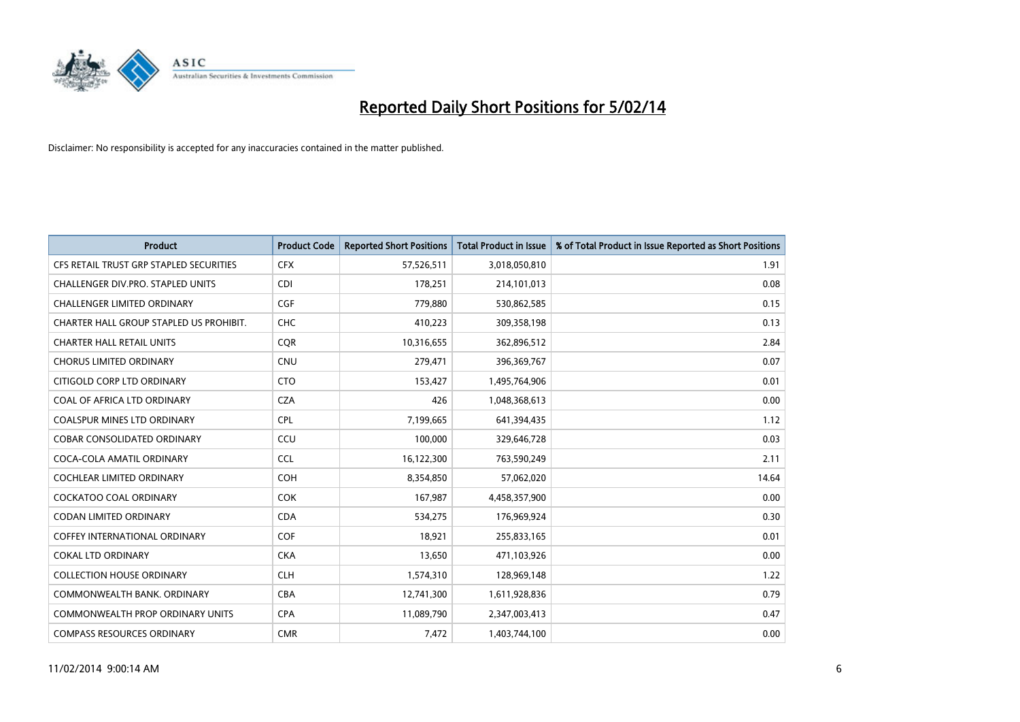

| <b>Product</b>                          | <b>Product Code</b> | <b>Reported Short Positions</b> | <b>Total Product in Issue</b> | % of Total Product in Issue Reported as Short Positions |
|-----------------------------------------|---------------------|---------------------------------|-------------------------------|---------------------------------------------------------|
| CFS RETAIL TRUST GRP STAPLED SECURITIES | <b>CFX</b>          | 57,526,511                      | 3,018,050,810                 | 1.91                                                    |
| CHALLENGER DIV.PRO. STAPLED UNITS       | <b>CDI</b>          | 178,251                         | 214,101,013                   | 0.08                                                    |
| CHALLENGER LIMITED ORDINARY             | <b>CGF</b>          | 779,880                         | 530,862,585                   | 0.15                                                    |
| CHARTER HALL GROUP STAPLED US PROHIBIT. | <b>CHC</b>          | 410,223                         | 309,358,198                   | 0.13                                                    |
| <b>CHARTER HALL RETAIL UNITS</b>        | <b>COR</b>          | 10,316,655                      | 362,896,512                   | 2.84                                                    |
| <b>CHORUS LIMITED ORDINARY</b>          | <b>CNU</b>          | 279,471                         | 396,369,767                   | 0.07                                                    |
| CITIGOLD CORP LTD ORDINARY              | <b>CTO</b>          | 153,427                         | 1,495,764,906                 | 0.01                                                    |
| COAL OF AFRICA LTD ORDINARY             | <b>CZA</b>          | 426                             | 1,048,368,613                 | 0.00                                                    |
| <b>COALSPUR MINES LTD ORDINARY</b>      | <b>CPL</b>          | 7,199,665                       | 641,394,435                   | 1.12                                                    |
| <b>COBAR CONSOLIDATED ORDINARY</b>      | CCU                 | 100,000                         | 329,646,728                   | 0.03                                                    |
| COCA-COLA AMATIL ORDINARY               | <b>CCL</b>          | 16,122,300                      | 763,590,249                   | 2.11                                                    |
| <b>COCHLEAR LIMITED ORDINARY</b>        | <b>COH</b>          | 8,354,850                       | 57,062,020                    | 14.64                                                   |
| <b>COCKATOO COAL ORDINARY</b>           | <b>COK</b>          | 167,987                         | 4,458,357,900                 | 0.00                                                    |
| <b>CODAN LIMITED ORDINARY</b>           | <b>CDA</b>          | 534,275                         | 176,969,924                   | 0.30                                                    |
| <b>COFFEY INTERNATIONAL ORDINARY</b>    | COF                 | 18,921                          | 255,833,165                   | 0.01                                                    |
| <b>COKAL LTD ORDINARY</b>               | <b>CKA</b>          | 13,650                          | 471,103,926                   | 0.00                                                    |
| <b>COLLECTION HOUSE ORDINARY</b>        | <b>CLH</b>          | 1,574,310                       | 128,969,148                   | 1.22                                                    |
| COMMONWEALTH BANK, ORDINARY             | <b>CBA</b>          | 12,741,300                      | 1,611,928,836                 | 0.79                                                    |
| COMMONWEALTH PROP ORDINARY UNITS        | <b>CPA</b>          | 11,089,790                      | 2,347,003,413                 | 0.47                                                    |
| <b>COMPASS RESOURCES ORDINARY</b>       | <b>CMR</b>          | 7,472                           | 1,403,744,100                 | 0.00                                                    |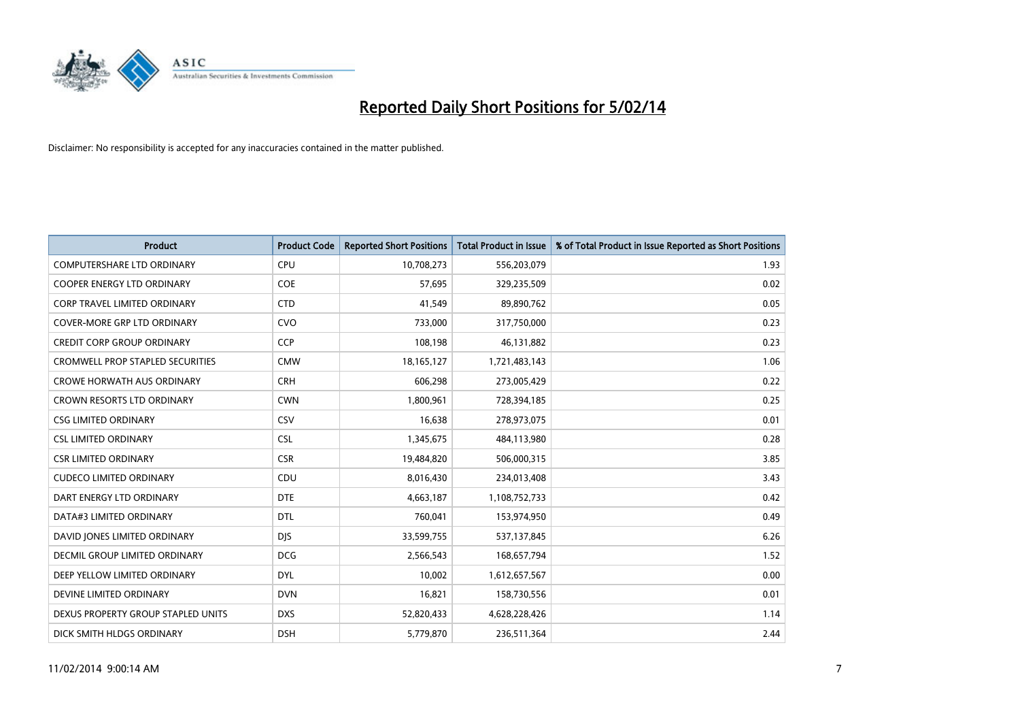

| <b>Product</b>                          | <b>Product Code</b> | <b>Reported Short Positions</b> | <b>Total Product in Issue</b> | % of Total Product in Issue Reported as Short Positions |
|-----------------------------------------|---------------------|---------------------------------|-------------------------------|---------------------------------------------------------|
| <b>COMPUTERSHARE LTD ORDINARY</b>       | <b>CPU</b>          | 10,708,273                      | 556,203,079                   | 1.93                                                    |
| <b>COOPER ENERGY LTD ORDINARY</b>       | <b>COE</b>          | 57,695                          | 329,235,509                   | 0.02                                                    |
| CORP TRAVEL LIMITED ORDINARY            | <b>CTD</b>          | 41,549                          | 89,890,762                    | 0.05                                                    |
| COVER-MORE GRP LTD ORDINARY             | <b>CVO</b>          | 733,000                         | 317,750,000                   | 0.23                                                    |
| <b>CREDIT CORP GROUP ORDINARY</b>       | <b>CCP</b>          | 108,198                         | 46,131,882                    | 0.23                                                    |
| <b>CROMWELL PROP STAPLED SECURITIES</b> | <b>CMW</b>          | 18, 165, 127                    | 1,721,483,143                 | 1.06                                                    |
| <b>CROWE HORWATH AUS ORDINARY</b>       | <b>CRH</b>          | 606,298                         | 273,005,429                   | 0.22                                                    |
| CROWN RESORTS LTD ORDINARY              | <b>CWN</b>          | 1,800,961                       | 728,394,185                   | 0.25                                                    |
| <b>CSG LIMITED ORDINARY</b>             | CSV                 | 16,638                          | 278,973,075                   | 0.01                                                    |
| <b>CSL LIMITED ORDINARY</b>             | <b>CSL</b>          | 1,345,675                       | 484,113,980                   | 0.28                                                    |
| <b>CSR LIMITED ORDINARY</b>             | <b>CSR</b>          | 19,484,820                      | 506,000,315                   | 3.85                                                    |
| <b>CUDECO LIMITED ORDINARY</b>          | <b>CDU</b>          | 8,016,430                       | 234,013,408                   | 3.43                                                    |
| DART ENERGY LTD ORDINARY                | <b>DTE</b>          | 4,663,187                       | 1,108,752,733                 | 0.42                                                    |
| DATA#3 LIMITED ORDINARY                 | <b>DTL</b>          | 760,041                         | 153,974,950                   | 0.49                                                    |
| DAVID JONES LIMITED ORDINARY            | <b>DJS</b>          | 33,599,755                      | 537,137,845                   | 6.26                                                    |
| DECMIL GROUP LIMITED ORDINARY           | <b>DCG</b>          | 2,566,543                       | 168,657,794                   | 1.52                                                    |
| DEEP YELLOW LIMITED ORDINARY            | <b>DYL</b>          | 10,002                          | 1,612,657,567                 | 0.00                                                    |
| DEVINE LIMITED ORDINARY                 | <b>DVN</b>          | 16,821                          | 158,730,556                   | 0.01                                                    |
| DEXUS PROPERTY GROUP STAPLED UNITS      | <b>DXS</b>          | 52,820,433                      | 4,628,228,426                 | 1.14                                                    |
| DICK SMITH HLDGS ORDINARY               | <b>DSH</b>          | 5,779,870                       | 236,511,364                   | 2.44                                                    |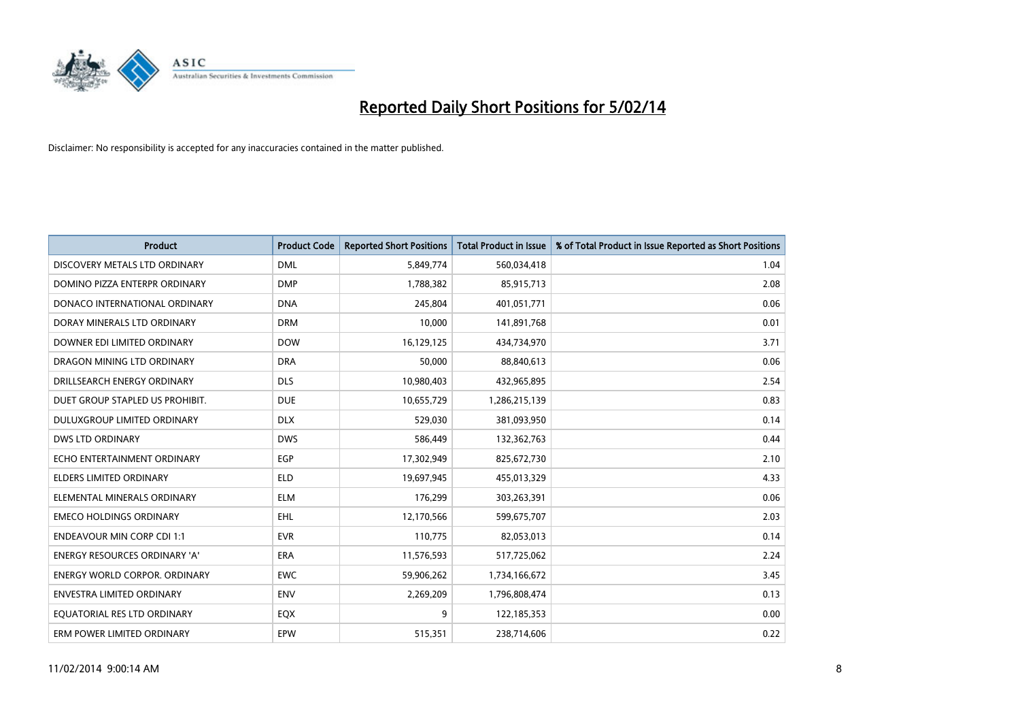

| <b>Product</b>                       | <b>Product Code</b> | <b>Reported Short Positions</b> | <b>Total Product in Issue</b> | % of Total Product in Issue Reported as Short Positions |
|--------------------------------------|---------------------|---------------------------------|-------------------------------|---------------------------------------------------------|
| DISCOVERY METALS LTD ORDINARY        | <b>DML</b>          | 5,849,774                       | 560,034,418                   | 1.04                                                    |
| DOMINO PIZZA ENTERPR ORDINARY        | <b>DMP</b>          | 1,788,382                       | 85,915,713                    | 2.08                                                    |
| DONACO INTERNATIONAL ORDINARY        | <b>DNA</b>          | 245,804                         | 401,051,771                   | 0.06                                                    |
| DORAY MINERALS LTD ORDINARY          | <b>DRM</b>          | 10,000                          | 141,891,768                   | 0.01                                                    |
| DOWNER EDI LIMITED ORDINARY          | <b>DOW</b>          | 16,129,125                      | 434,734,970                   | 3.71                                                    |
| DRAGON MINING LTD ORDINARY           | <b>DRA</b>          | 50,000                          | 88,840,613                    | 0.06                                                    |
| DRILLSEARCH ENERGY ORDINARY          | <b>DLS</b>          | 10,980,403                      | 432,965,895                   | 2.54                                                    |
| DUET GROUP STAPLED US PROHIBIT.      | <b>DUE</b>          | 10,655,729                      | 1,286,215,139                 | 0.83                                                    |
| DULUXGROUP LIMITED ORDINARY          | <b>DLX</b>          | 529,030                         | 381,093,950                   | 0.14                                                    |
| DWS LTD ORDINARY                     | <b>DWS</b>          | 586,449                         | 132,362,763                   | 0.44                                                    |
| ECHO ENTERTAINMENT ORDINARY          | <b>EGP</b>          | 17,302,949                      | 825,672,730                   | 2.10                                                    |
| <b>ELDERS LIMITED ORDINARY</b>       | <b>ELD</b>          | 19,697,945                      | 455,013,329                   | 4.33                                                    |
| ELEMENTAL MINERALS ORDINARY          | <b>ELM</b>          | 176,299                         | 303,263,391                   | 0.06                                                    |
| <b>EMECO HOLDINGS ORDINARY</b>       | EHL                 | 12,170,566                      | 599,675,707                   | 2.03                                                    |
| <b>ENDEAVOUR MIN CORP CDI 1:1</b>    | <b>EVR</b>          | 110,775                         | 82,053,013                    | 0.14                                                    |
| <b>ENERGY RESOURCES ORDINARY 'A'</b> | ERA                 | 11,576,593                      | 517,725,062                   | 2.24                                                    |
| <b>ENERGY WORLD CORPOR. ORDINARY</b> | <b>EWC</b>          | 59,906,262                      | 1,734,166,672                 | 3.45                                                    |
| ENVESTRA LIMITED ORDINARY            | <b>ENV</b>          | 2,269,209                       | 1,796,808,474                 | 0.13                                                    |
| EQUATORIAL RES LTD ORDINARY          | EQX                 | 9                               | 122,185,353                   | 0.00                                                    |
| ERM POWER LIMITED ORDINARY           | EPW                 | 515,351                         | 238,714,606                   | 0.22                                                    |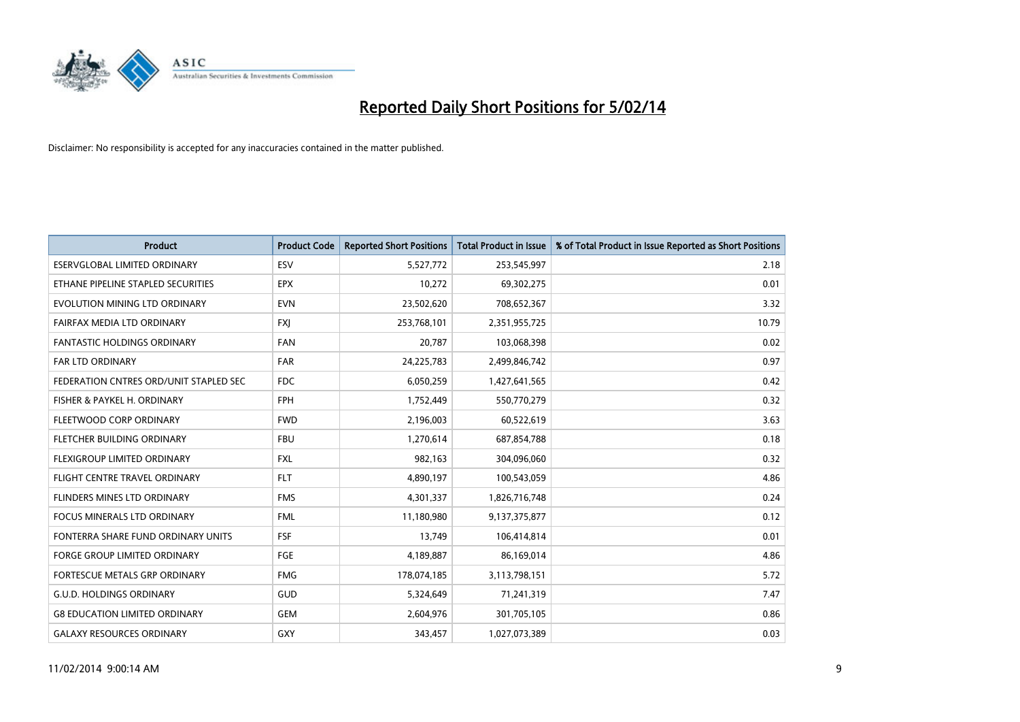

| <b>Product</b>                         | <b>Product Code</b> | <b>Reported Short Positions</b> | <b>Total Product in Issue</b> | % of Total Product in Issue Reported as Short Positions |
|----------------------------------------|---------------------|---------------------------------|-------------------------------|---------------------------------------------------------|
| <b>ESERVGLOBAL LIMITED ORDINARY</b>    | ESV                 | 5,527,772                       | 253,545,997                   | 2.18                                                    |
| ETHANE PIPELINE STAPLED SECURITIES     | <b>EPX</b>          | 10,272                          | 69,302,275                    | 0.01                                                    |
| EVOLUTION MINING LTD ORDINARY          | <b>EVN</b>          | 23,502,620                      | 708,652,367                   | 3.32                                                    |
| FAIRFAX MEDIA LTD ORDINARY             | FXJ                 | 253,768,101                     | 2,351,955,725                 | 10.79                                                   |
| <b>FANTASTIC HOLDINGS ORDINARY</b>     | <b>FAN</b>          | 20,787                          | 103,068,398                   | 0.02                                                    |
| <b>FAR LTD ORDINARY</b>                | <b>FAR</b>          | 24,225,783                      | 2,499,846,742                 | 0.97                                                    |
| FEDERATION CNTRES ORD/UNIT STAPLED SEC | FDC                 | 6,050,259                       | 1,427,641,565                 | 0.42                                                    |
| FISHER & PAYKEL H. ORDINARY            | <b>FPH</b>          | 1,752,449                       | 550,770,279                   | 0.32                                                    |
| FLEETWOOD CORP ORDINARY                | <b>FWD</b>          | 2,196,003                       | 60,522,619                    | 3.63                                                    |
| FLETCHER BUILDING ORDINARY             | <b>FBU</b>          | 1,270,614                       | 687,854,788                   | 0.18                                                    |
| FLEXIGROUP LIMITED ORDINARY            | <b>FXL</b>          | 982,163                         | 304,096,060                   | 0.32                                                    |
| FLIGHT CENTRE TRAVEL ORDINARY          | <b>FLT</b>          | 4,890,197                       | 100,543,059                   | 4.86                                                    |
| FLINDERS MINES LTD ORDINARY            | <b>FMS</b>          | 4,301,337                       | 1,826,716,748                 | 0.24                                                    |
| <b>FOCUS MINERALS LTD ORDINARY</b>     | <b>FML</b>          | 11,180,980                      | 9,137,375,877                 | 0.12                                                    |
| FONTERRA SHARE FUND ORDINARY UNITS     | <b>FSF</b>          | 13,749                          | 106,414,814                   | 0.01                                                    |
| FORGE GROUP LIMITED ORDINARY           | FGE                 | 4,189,887                       | 86,169,014                    | 4.86                                                    |
| FORTESCUE METALS GRP ORDINARY          | <b>FMG</b>          | 178,074,185                     | 3,113,798,151                 | 5.72                                                    |
| <b>G.U.D. HOLDINGS ORDINARY</b>        | GUD                 | 5,324,649                       | 71,241,319                    | 7.47                                                    |
| <b>G8 EDUCATION LIMITED ORDINARY</b>   | <b>GEM</b>          | 2,604,976                       | 301,705,105                   | 0.86                                                    |
| <b>GALAXY RESOURCES ORDINARY</b>       | GXY                 | 343,457                         | 1,027,073,389                 | 0.03                                                    |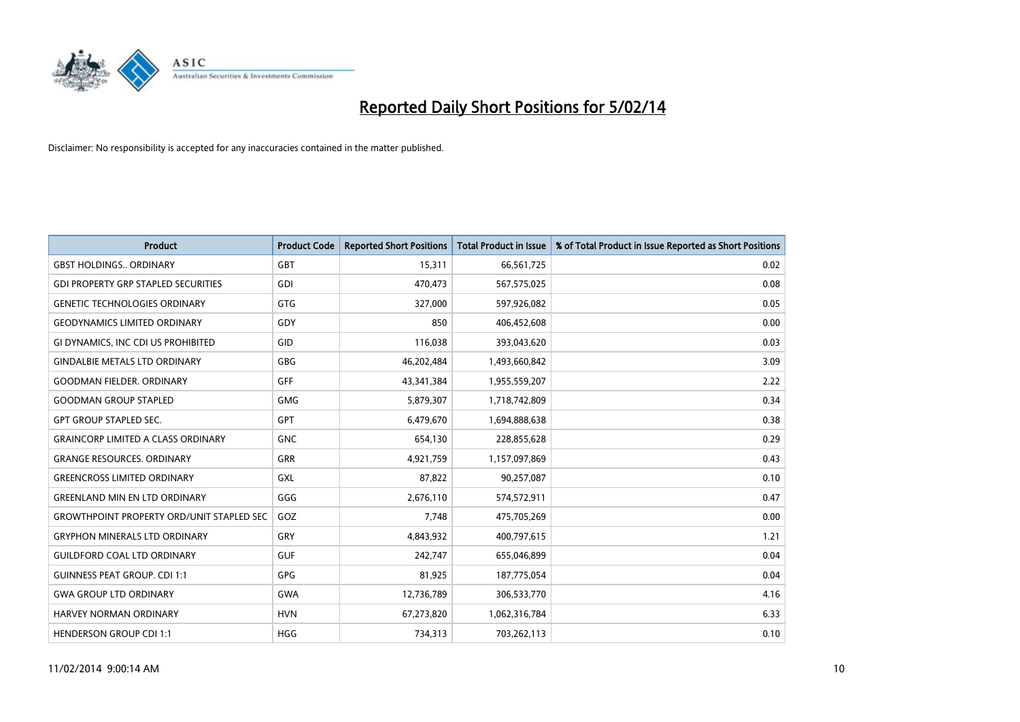

| <b>Product</b>                                   | <b>Product Code</b> | <b>Reported Short Positions</b> | <b>Total Product in Issue</b> | % of Total Product in Issue Reported as Short Positions |
|--------------------------------------------------|---------------------|---------------------------------|-------------------------------|---------------------------------------------------------|
| <b>GBST HOLDINGS., ORDINARY</b>                  | <b>GBT</b>          | 15,311                          | 66,561,725                    | 0.02                                                    |
| <b>GDI PROPERTY GRP STAPLED SECURITIES</b>       | <b>GDI</b>          | 470,473                         | 567,575,025                   | 0.08                                                    |
| <b>GENETIC TECHNOLOGIES ORDINARY</b>             | <b>GTG</b>          | 327,000                         | 597,926,082                   | 0.05                                                    |
| <b>GEODYNAMICS LIMITED ORDINARY</b>              | GDY                 | 850                             | 406,452,608                   | 0.00                                                    |
| GI DYNAMICS, INC CDI US PROHIBITED               | GID                 | 116,038                         | 393,043,620                   | 0.03                                                    |
| <b>GINDALBIE METALS LTD ORDINARY</b>             | GBG                 | 46,202,484                      | 1,493,660,842                 | 3.09                                                    |
| <b>GOODMAN FIELDER. ORDINARY</b>                 | <b>GFF</b>          | 43,341,384                      | 1,955,559,207                 | 2.22                                                    |
| <b>GOODMAN GROUP STAPLED</b>                     | <b>GMG</b>          | 5,879,307                       | 1,718,742,809                 | 0.34                                                    |
| <b>GPT GROUP STAPLED SEC.</b>                    | <b>GPT</b>          | 6,479,670                       | 1,694,888,638                 | 0.38                                                    |
| <b>GRAINCORP LIMITED A CLASS ORDINARY</b>        | <b>GNC</b>          | 654,130                         | 228,855,628                   | 0.29                                                    |
| <b>GRANGE RESOURCES. ORDINARY</b>                | GRR                 | 4,921,759                       | 1,157,097,869                 | 0.43                                                    |
| <b>GREENCROSS LIMITED ORDINARY</b>               | GXL                 | 87,822                          | 90,257,087                    | 0.10                                                    |
| <b>GREENLAND MIN EN LTD ORDINARY</b>             | GGG                 | 2,676,110                       | 574,572,911                   | 0.47                                                    |
| <b>GROWTHPOINT PROPERTY ORD/UNIT STAPLED SEC</b> | GOZ                 | 7,748                           | 475,705,269                   | 0.00                                                    |
| <b>GRYPHON MINERALS LTD ORDINARY</b>             | GRY                 | 4,843,932                       | 400,797,615                   | 1.21                                                    |
| <b>GUILDFORD COAL LTD ORDINARY</b>               | <b>GUF</b>          | 242,747                         | 655,046,899                   | 0.04                                                    |
| <b>GUINNESS PEAT GROUP. CDI 1:1</b>              | GPG                 | 81,925                          | 187,775,054                   | 0.04                                                    |
| <b>GWA GROUP LTD ORDINARY</b>                    | <b>GWA</b>          | 12,736,789                      | 306,533,770                   | 4.16                                                    |
| <b>HARVEY NORMAN ORDINARY</b>                    | <b>HVN</b>          | 67,273,820                      | 1,062,316,784                 | 6.33                                                    |
| <b>HENDERSON GROUP CDI 1:1</b>                   | <b>HGG</b>          | 734,313                         | 703,262,113                   | 0.10                                                    |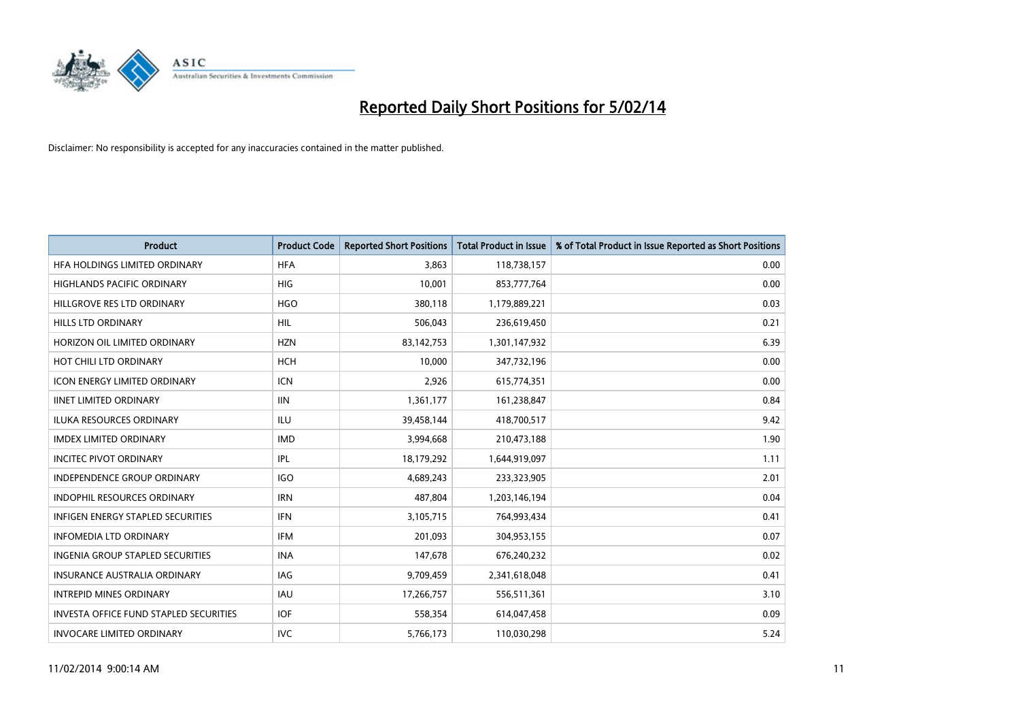

| <b>Product</b>                                | <b>Product Code</b> | <b>Reported Short Positions</b> | <b>Total Product in Issue</b> | % of Total Product in Issue Reported as Short Positions |
|-----------------------------------------------|---------------------|---------------------------------|-------------------------------|---------------------------------------------------------|
| HFA HOLDINGS LIMITED ORDINARY                 | <b>HFA</b>          | 3,863                           | 118,738,157                   | 0.00                                                    |
| HIGHLANDS PACIFIC ORDINARY                    | HIG                 | 10,001                          | 853,777,764                   | 0.00                                                    |
| HILLGROVE RES LTD ORDINARY                    | <b>HGO</b>          | 380,118                         | 1,179,889,221                 | 0.03                                                    |
| HILLS LTD ORDINARY                            | HIL                 | 506,043                         | 236,619,450                   | 0.21                                                    |
| HORIZON OIL LIMITED ORDINARY                  | <b>HZN</b>          | 83,142,753                      | 1,301,147,932                 | 6.39                                                    |
| HOT CHILI LTD ORDINARY                        | <b>HCH</b>          | 10,000                          | 347,732,196                   | 0.00                                                    |
| <b>ICON ENERGY LIMITED ORDINARY</b>           | <b>ICN</b>          | 2,926                           | 615,774,351                   | 0.00                                                    |
| <b>IINET LIMITED ORDINARY</b>                 | <b>IIN</b>          | 1,361,177                       | 161,238,847                   | 0.84                                                    |
| <b>ILUKA RESOURCES ORDINARY</b>               | ILU                 | 39,458,144                      | 418,700,517                   | 9.42                                                    |
| <b>IMDEX LIMITED ORDINARY</b>                 | <b>IMD</b>          | 3,994,668                       | 210,473,188                   | 1.90                                                    |
| <b>INCITEC PIVOT ORDINARY</b>                 | IPL                 | 18,179,292                      | 1,644,919,097                 | 1.11                                                    |
| <b>INDEPENDENCE GROUP ORDINARY</b>            | <b>IGO</b>          | 4,689,243                       | 233,323,905                   | 2.01                                                    |
| INDOPHIL RESOURCES ORDINARY                   | <b>IRN</b>          | 487,804                         | 1,203,146,194                 | 0.04                                                    |
| <b>INFIGEN ENERGY STAPLED SECURITIES</b>      | <b>IFN</b>          | 3,105,715                       | 764,993,434                   | 0.41                                                    |
| <b>INFOMEDIA LTD ORDINARY</b>                 | <b>IFM</b>          | 201,093                         | 304,953,155                   | 0.07                                                    |
| INGENIA GROUP STAPLED SECURITIES              | <b>INA</b>          | 147,678                         | 676,240,232                   | 0.02                                                    |
| INSURANCE AUSTRALIA ORDINARY                  | IAG                 | 9,709,459                       | 2,341,618,048                 | 0.41                                                    |
| <b>INTREPID MINES ORDINARY</b>                | <b>IAU</b>          | 17,266,757                      | 556,511,361                   | 3.10                                                    |
| <b>INVESTA OFFICE FUND STAPLED SECURITIES</b> | <b>IOF</b>          | 558,354                         | 614,047,458                   | 0.09                                                    |
| <b>INVOCARE LIMITED ORDINARY</b>              | <b>IVC</b>          | 5,766,173                       | 110,030,298                   | 5.24                                                    |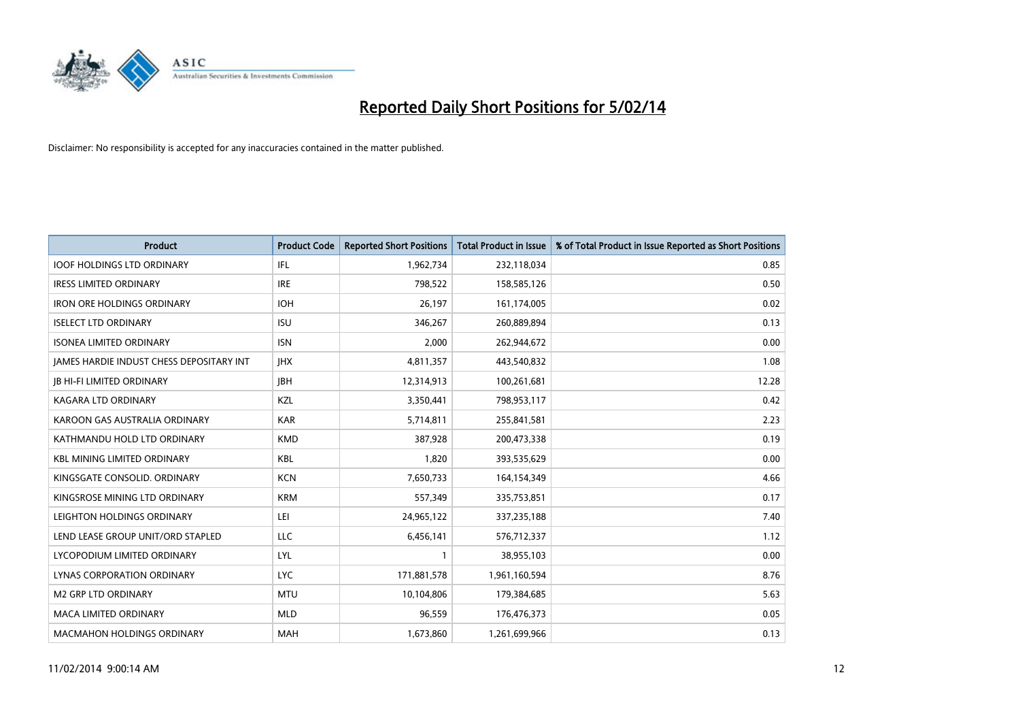

| <b>Product</b>                                  | <b>Product Code</b> | <b>Reported Short Positions</b> | <b>Total Product in Issue</b> | % of Total Product in Issue Reported as Short Positions |
|-------------------------------------------------|---------------------|---------------------------------|-------------------------------|---------------------------------------------------------|
| <b>IOOF HOLDINGS LTD ORDINARY</b>               | IFL                 | 1,962,734                       | 232,118,034                   | 0.85                                                    |
| <b>IRESS LIMITED ORDINARY</b>                   | <b>IRE</b>          | 798,522                         | 158,585,126                   | 0.50                                                    |
| <b>IRON ORE HOLDINGS ORDINARY</b>               | <b>IOH</b>          | 26,197                          | 161,174,005                   | 0.02                                                    |
| <b>ISELECT LTD ORDINARY</b>                     | <b>ISU</b>          | 346,267                         | 260,889,894                   | 0.13                                                    |
| <b>ISONEA LIMITED ORDINARY</b>                  | <b>ISN</b>          | 2,000                           | 262,944,672                   | 0.00                                                    |
| <b>JAMES HARDIE INDUST CHESS DEPOSITARY INT</b> | <b>IHX</b>          | 4,811,357                       | 443,540,832                   | 1.08                                                    |
| <b>JB HI-FI LIMITED ORDINARY</b>                | <b>IBH</b>          | 12,314,913                      | 100,261,681                   | 12.28                                                   |
| <b>KAGARA LTD ORDINARY</b>                      | KZL                 | 3,350,441                       | 798,953,117                   | 0.42                                                    |
| KAROON GAS AUSTRALIA ORDINARY                   | <b>KAR</b>          | 5,714,811                       | 255,841,581                   | 2.23                                                    |
| KATHMANDU HOLD LTD ORDINARY                     | <b>KMD</b>          | 387,928                         | 200,473,338                   | 0.19                                                    |
| <b>KBL MINING LIMITED ORDINARY</b>              | <b>KBL</b>          | 1,820                           | 393,535,629                   | 0.00                                                    |
| KINGSGATE CONSOLID. ORDINARY                    | <b>KCN</b>          | 7,650,733                       | 164,154,349                   | 4.66                                                    |
| KINGSROSE MINING LTD ORDINARY                   | <b>KRM</b>          | 557,349                         | 335,753,851                   | 0.17                                                    |
| LEIGHTON HOLDINGS ORDINARY                      | LEI                 | 24,965,122                      | 337,235,188                   | 7.40                                                    |
| LEND LEASE GROUP UNIT/ORD STAPLED               | <b>LLC</b>          | 6,456,141                       | 576,712,337                   | 1.12                                                    |
| LYCOPODIUM LIMITED ORDINARY                     | <b>LYL</b>          | 1                               | 38,955,103                    | 0.00                                                    |
| LYNAS CORPORATION ORDINARY                      | <b>LYC</b>          | 171,881,578                     | 1,961,160,594                 | 8.76                                                    |
| <b>M2 GRP LTD ORDINARY</b>                      | <b>MTU</b>          | 10,104,806                      | 179,384,685                   | 5.63                                                    |
| <b>MACA LIMITED ORDINARY</b>                    | <b>MLD</b>          | 96,559                          | 176,476,373                   | 0.05                                                    |
| <b>MACMAHON HOLDINGS ORDINARY</b>               | <b>MAH</b>          | 1,673,860                       | 1,261,699,966                 | 0.13                                                    |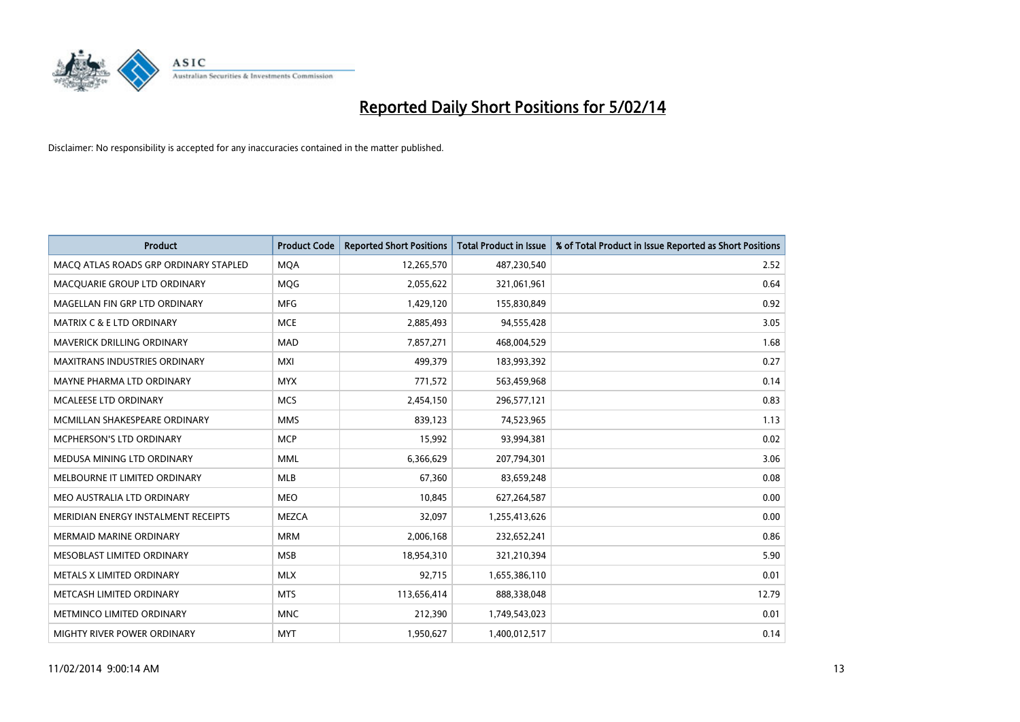

| <b>Product</b>                        | <b>Product Code</b> | <b>Reported Short Positions</b> | <b>Total Product in Issue</b> | % of Total Product in Issue Reported as Short Positions |
|---------------------------------------|---------------------|---------------------------------|-------------------------------|---------------------------------------------------------|
| MACO ATLAS ROADS GRP ORDINARY STAPLED | <b>MQA</b>          | 12,265,570                      | 487,230,540                   | 2.52                                                    |
| MACQUARIE GROUP LTD ORDINARY          | <b>MQG</b>          | 2,055,622                       | 321,061,961                   | 0.64                                                    |
| MAGELLAN FIN GRP LTD ORDINARY         | <b>MFG</b>          | 1,429,120                       | 155,830,849                   | 0.92                                                    |
| <b>MATRIX C &amp; E LTD ORDINARY</b>  | <b>MCE</b>          | 2,885,493                       | 94,555,428                    | 3.05                                                    |
| MAVERICK DRILLING ORDINARY            | <b>MAD</b>          | 7,857,271                       | 468,004,529                   | 1.68                                                    |
| <b>MAXITRANS INDUSTRIES ORDINARY</b>  | <b>MXI</b>          | 499,379                         | 183,993,392                   | 0.27                                                    |
| MAYNE PHARMA LTD ORDINARY             | <b>MYX</b>          | 771,572                         | 563,459,968                   | 0.14                                                    |
| MCALEESE LTD ORDINARY                 | <b>MCS</b>          | 2,454,150                       | 296,577,121                   | 0.83                                                    |
| MCMILLAN SHAKESPEARE ORDINARY         | <b>MMS</b>          | 839,123                         | 74,523,965                    | 1.13                                                    |
| <b>MCPHERSON'S LTD ORDINARY</b>       | <b>MCP</b>          | 15,992                          | 93,994,381                    | 0.02                                                    |
| MEDUSA MINING LTD ORDINARY            | <b>MML</b>          | 6,366,629                       | 207,794,301                   | 3.06                                                    |
| MELBOURNE IT LIMITED ORDINARY         | MLB                 | 67,360                          | 83,659,248                    | 0.08                                                    |
| MEO AUSTRALIA LTD ORDINARY            | <b>MEO</b>          | 10,845                          | 627,264,587                   | 0.00                                                    |
| MERIDIAN ENERGY INSTALMENT RECEIPTS   | <b>MEZCA</b>        | 32,097                          | 1,255,413,626                 | 0.00                                                    |
| <b>MERMAID MARINE ORDINARY</b>        | <b>MRM</b>          | 2,006,168                       | 232,652,241                   | 0.86                                                    |
| MESOBLAST LIMITED ORDINARY            | <b>MSB</b>          | 18,954,310                      | 321,210,394                   | 5.90                                                    |
| METALS X LIMITED ORDINARY             | <b>MLX</b>          | 92,715                          | 1,655,386,110                 | 0.01                                                    |
| METCASH LIMITED ORDINARY              | <b>MTS</b>          | 113,656,414                     | 888,338,048                   | 12.79                                                   |
| METMINCO LIMITED ORDINARY             | <b>MNC</b>          | 212,390                         | 1,749,543,023                 | 0.01                                                    |
| MIGHTY RIVER POWER ORDINARY           | <b>MYT</b>          | 1,950,627                       | 1,400,012,517                 | 0.14                                                    |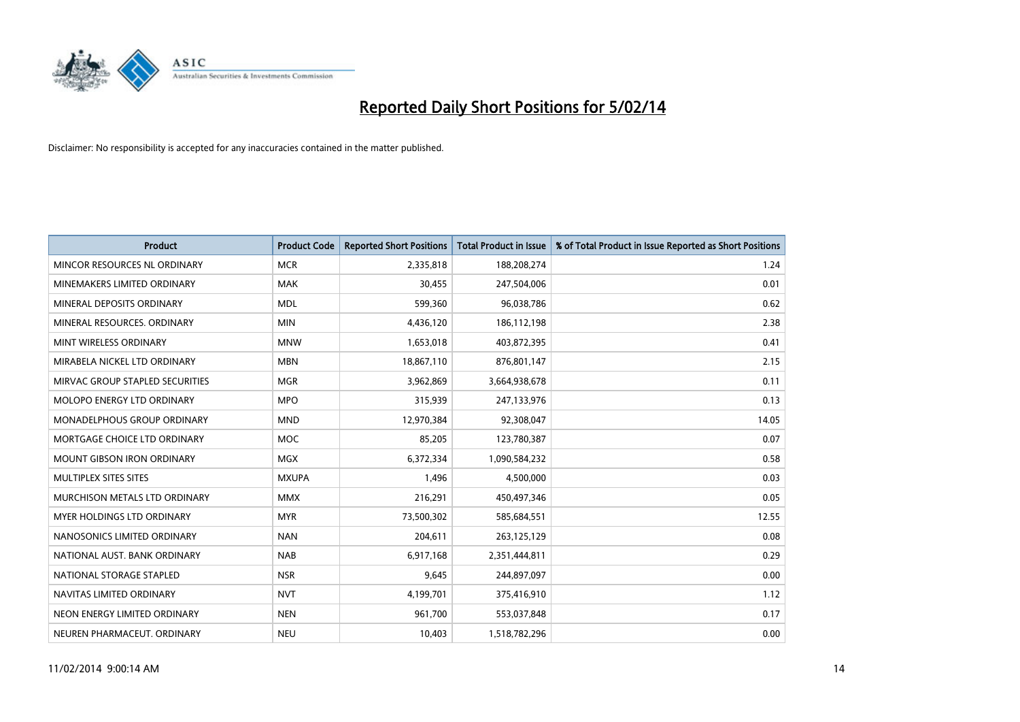

| <b>Product</b>                    | <b>Product Code</b> | <b>Reported Short Positions</b> | <b>Total Product in Issue</b> | % of Total Product in Issue Reported as Short Positions |
|-----------------------------------|---------------------|---------------------------------|-------------------------------|---------------------------------------------------------|
| MINCOR RESOURCES NL ORDINARY      | <b>MCR</b>          | 2,335,818                       | 188,208,274                   | 1.24                                                    |
| MINEMAKERS LIMITED ORDINARY       | <b>MAK</b>          | 30,455                          | 247,504,006                   | 0.01                                                    |
| MINERAL DEPOSITS ORDINARY         | <b>MDL</b>          | 599,360                         | 96,038,786                    | 0.62                                                    |
| MINERAL RESOURCES, ORDINARY       | <b>MIN</b>          | 4,436,120                       | 186,112,198                   | 2.38                                                    |
| MINT WIRELESS ORDINARY            | <b>MNW</b>          | 1,653,018                       | 403,872,395                   | 0.41                                                    |
| MIRABELA NICKEL LTD ORDINARY      | <b>MBN</b>          | 18,867,110                      | 876,801,147                   | 2.15                                                    |
| MIRVAC GROUP STAPLED SECURITIES   | <b>MGR</b>          | 3,962,869                       | 3,664,938,678                 | 0.11                                                    |
| MOLOPO ENERGY LTD ORDINARY        | <b>MPO</b>          | 315,939                         | 247,133,976                   | 0.13                                                    |
| MONADELPHOUS GROUP ORDINARY       | <b>MND</b>          | 12,970,384                      | 92,308,047                    | 14.05                                                   |
| MORTGAGE CHOICE LTD ORDINARY      | <b>MOC</b>          | 85,205                          | 123,780,387                   | 0.07                                                    |
| <b>MOUNT GIBSON IRON ORDINARY</b> | <b>MGX</b>          | 6,372,334                       | 1,090,584,232                 | 0.58                                                    |
| MULTIPLEX SITES SITES             | <b>MXUPA</b>        | 1,496                           | 4,500,000                     | 0.03                                                    |
| MURCHISON METALS LTD ORDINARY     | <b>MMX</b>          | 216,291                         | 450,497,346                   | 0.05                                                    |
| <b>MYER HOLDINGS LTD ORDINARY</b> | <b>MYR</b>          | 73,500,302                      | 585,684,551                   | 12.55                                                   |
| NANOSONICS LIMITED ORDINARY       | <b>NAN</b>          | 204,611                         | 263,125,129                   | 0.08                                                    |
| NATIONAL AUST, BANK ORDINARY      | <b>NAB</b>          | 6,917,168                       | 2,351,444,811                 | 0.29                                                    |
| NATIONAL STORAGE STAPLED          | <b>NSR</b>          | 9,645                           | 244,897,097                   | 0.00                                                    |
| NAVITAS LIMITED ORDINARY          | <b>NVT</b>          | 4,199,701                       | 375,416,910                   | 1.12                                                    |
| NEON ENERGY LIMITED ORDINARY      | <b>NEN</b>          | 961,700                         | 553,037,848                   | 0.17                                                    |
| NEUREN PHARMACEUT, ORDINARY       | <b>NEU</b>          | 10,403                          | 1,518,782,296                 | 0.00                                                    |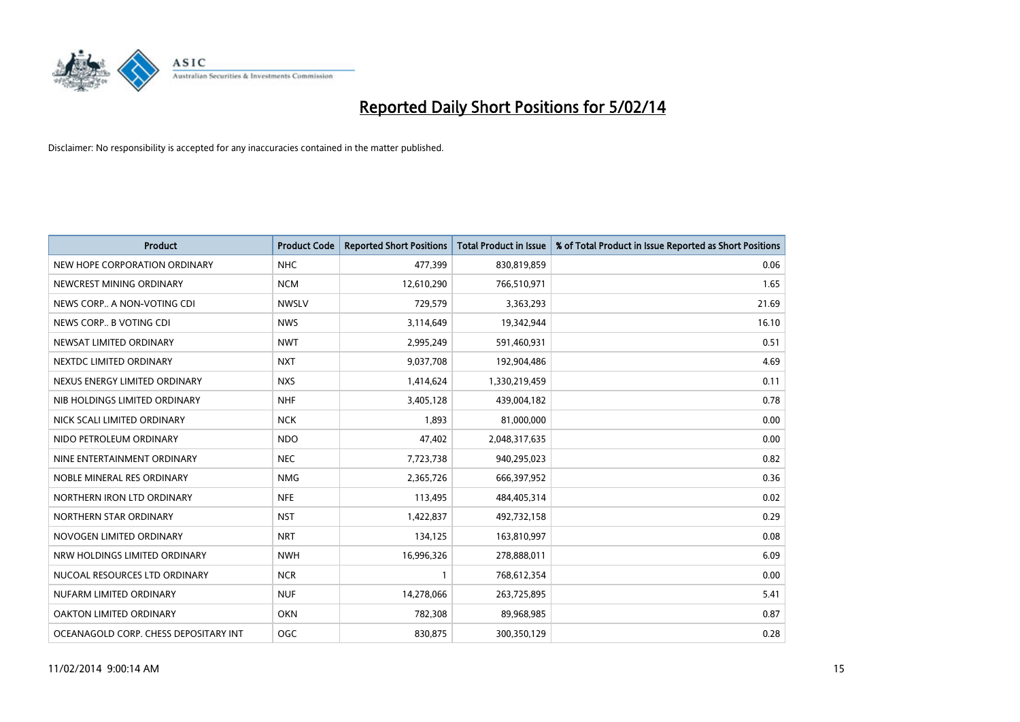

| <b>Product</b>                        | <b>Product Code</b> | <b>Reported Short Positions</b> | <b>Total Product in Issue</b> | % of Total Product in Issue Reported as Short Positions |
|---------------------------------------|---------------------|---------------------------------|-------------------------------|---------------------------------------------------------|
| NEW HOPE CORPORATION ORDINARY         | <b>NHC</b>          | 477,399                         | 830,819,859                   | 0.06                                                    |
| NEWCREST MINING ORDINARY              | <b>NCM</b>          | 12,610,290                      | 766,510,971                   | 1.65                                                    |
| NEWS CORP A NON-VOTING CDI            | <b>NWSLV</b>        | 729,579                         | 3,363,293                     | 21.69                                                   |
| NEWS CORP B VOTING CDI                | <b>NWS</b>          | 3,114,649                       | 19,342,944                    | 16.10                                                   |
| NEWSAT LIMITED ORDINARY               | <b>NWT</b>          | 2,995,249                       | 591,460,931                   | 0.51                                                    |
| NEXTDC LIMITED ORDINARY               | <b>NXT</b>          | 9,037,708                       | 192,904,486                   | 4.69                                                    |
| NEXUS ENERGY LIMITED ORDINARY         | <b>NXS</b>          | 1,414,624                       | 1,330,219,459                 | 0.11                                                    |
| NIB HOLDINGS LIMITED ORDINARY         | <b>NHF</b>          | 3,405,128                       | 439,004,182                   | 0.78                                                    |
| NICK SCALI LIMITED ORDINARY           | <b>NCK</b>          | 1,893                           | 81,000,000                    | 0.00                                                    |
| NIDO PETROLEUM ORDINARY               | <b>NDO</b>          | 47,402                          | 2,048,317,635                 | 0.00                                                    |
| NINE ENTERTAINMENT ORDINARY           | <b>NEC</b>          | 7,723,738                       | 940,295,023                   | 0.82                                                    |
| NOBLE MINERAL RES ORDINARY            | <b>NMG</b>          | 2,365,726                       | 666,397,952                   | 0.36                                                    |
| NORTHERN IRON LTD ORDINARY            | <b>NFE</b>          | 113,495                         | 484,405,314                   | 0.02                                                    |
| NORTHERN STAR ORDINARY                | <b>NST</b>          | 1,422,837                       | 492,732,158                   | 0.29                                                    |
| NOVOGEN LIMITED ORDINARY              | <b>NRT</b>          | 134,125                         | 163,810,997                   | 0.08                                                    |
| NRW HOLDINGS LIMITED ORDINARY         | <b>NWH</b>          | 16,996,326                      | 278,888,011                   | 6.09                                                    |
| NUCOAL RESOURCES LTD ORDINARY         | <b>NCR</b>          | $\mathbf{1}$                    | 768,612,354                   | 0.00                                                    |
| NUFARM LIMITED ORDINARY               | <b>NUF</b>          | 14,278,066                      | 263,725,895                   | 5.41                                                    |
| <b>OAKTON LIMITED ORDINARY</b>        | <b>OKN</b>          | 782,308                         | 89,968,985                    | 0.87                                                    |
| OCEANAGOLD CORP. CHESS DEPOSITARY INT | <b>OGC</b>          | 830,875                         | 300,350,129                   | 0.28                                                    |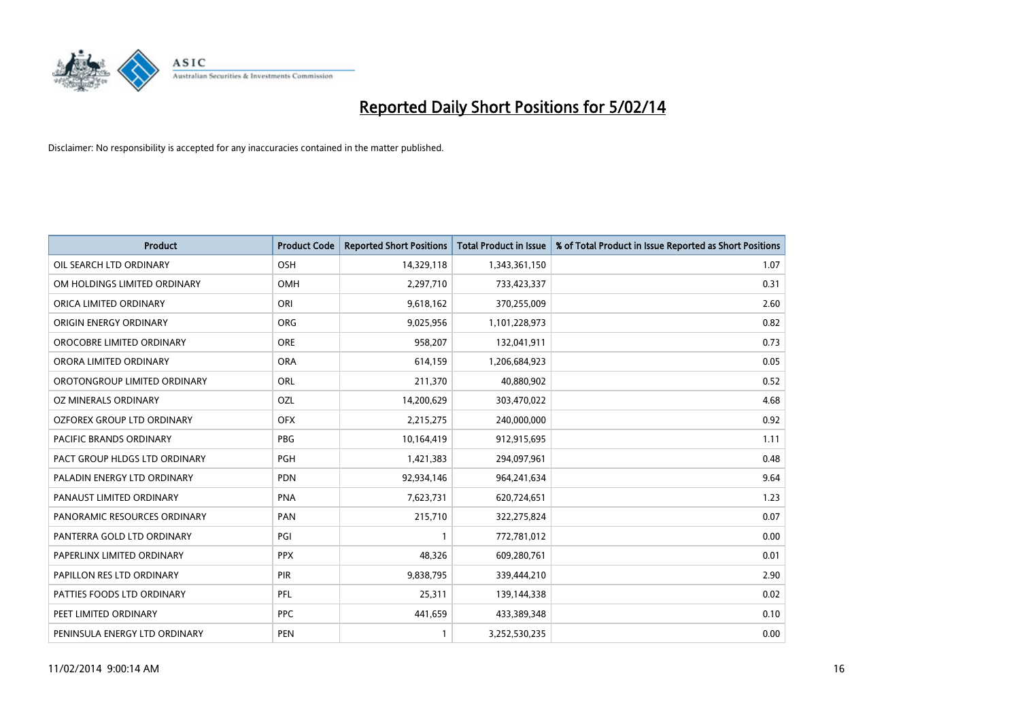

| <b>Product</b>                 | <b>Product Code</b> | <b>Reported Short Positions</b> | <b>Total Product in Issue</b> | % of Total Product in Issue Reported as Short Positions |
|--------------------------------|---------------------|---------------------------------|-------------------------------|---------------------------------------------------------|
| OIL SEARCH LTD ORDINARY        | OSH                 | 14,329,118                      | 1,343,361,150                 | 1.07                                                    |
| OM HOLDINGS LIMITED ORDINARY   | OMH                 | 2,297,710                       | 733,423,337                   | 0.31                                                    |
| ORICA LIMITED ORDINARY         | ORI                 | 9,618,162                       | 370,255,009                   | 2.60                                                    |
| ORIGIN ENERGY ORDINARY         | <b>ORG</b>          | 9,025,956                       | 1,101,228,973                 | 0.82                                                    |
| OROCOBRE LIMITED ORDINARY      | <b>ORE</b>          | 958,207                         | 132,041,911                   | 0.73                                                    |
| ORORA LIMITED ORDINARY         | <b>ORA</b>          | 614,159                         | 1,206,684,923                 | 0.05                                                    |
| OROTONGROUP LIMITED ORDINARY   | ORL                 | 211,370                         | 40,880,902                    | 0.52                                                    |
| OZ MINERALS ORDINARY           | OZL                 | 14,200,629                      | 303,470,022                   | 4.68                                                    |
| OZFOREX GROUP LTD ORDINARY     | <b>OFX</b>          | 2,215,275                       | 240,000,000                   | 0.92                                                    |
| <b>PACIFIC BRANDS ORDINARY</b> | <b>PBG</b>          | 10,164,419                      | 912,915,695                   | 1.11                                                    |
| PACT GROUP HLDGS LTD ORDINARY  | <b>PGH</b>          | 1,421,383                       | 294,097,961                   | 0.48                                                    |
| PALADIN ENERGY LTD ORDINARY    | <b>PDN</b>          | 92,934,146                      | 964,241,634                   | 9.64                                                    |
| PANAUST LIMITED ORDINARY       | <b>PNA</b>          | 7,623,731                       | 620,724,651                   | 1.23                                                    |
| PANORAMIC RESOURCES ORDINARY   | PAN                 | 215,710                         | 322,275,824                   | 0.07                                                    |
| PANTERRA GOLD LTD ORDINARY     | PGI                 | 1                               | 772,781,012                   | 0.00                                                    |
| PAPERLINX LIMITED ORDINARY     | <b>PPX</b>          | 48,326                          | 609,280,761                   | 0.01                                                    |
| PAPILLON RES LTD ORDINARY      | PIR                 | 9,838,795                       | 339,444,210                   | 2.90                                                    |
| PATTIES FOODS LTD ORDINARY     | <b>PFL</b>          | 25,311                          | 139,144,338                   | 0.02                                                    |
| PEET LIMITED ORDINARY          | <b>PPC</b>          | 441,659                         | 433,389,348                   | 0.10                                                    |
| PENINSULA ENERGY LTD ORDINARY  | <b>PEN</b>          | $\mathbf{1}$                    | 3,252,530,235                 | 0.00                                                    |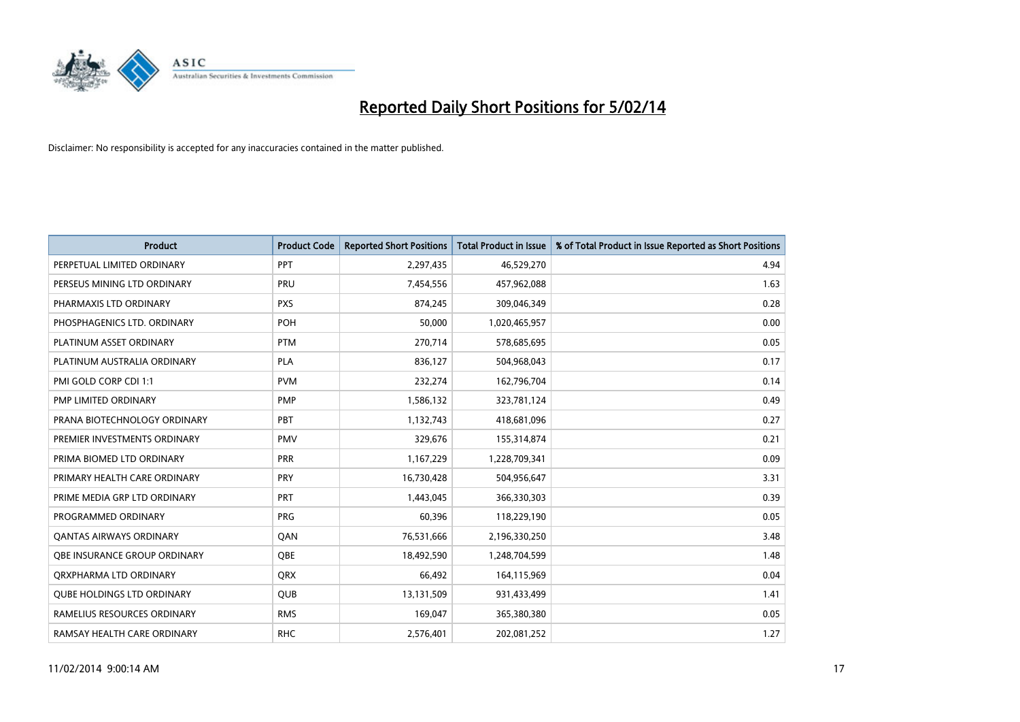

| <b>Product</b>                    | <b>Product Code</b> | <b>Reported Short Positions</b> | <b>Total Product in Issue</b> | % of Total Product in Issue Reported as Short Positions |
|-----------------------------------|---------------------|---------------------------------|-------------------------------|---------------------------------------------------------|
| PERPETUAL LIMITED ORDINARY        | PPT                 | 2,297,435                       | 46,529,270                    | 4.94                                                    |
| PERSEUS MINING LTD ORDINARY       | <b>PRU</b>          | 7,454,556                       | 457,962,088                   | 1.63                                                    |
| PHARMAXIS LTD ORDINARY            | <b>PXS</b>          | 874,245                         | 309,046,349                   | 0.28                                                    |
| PHOSPHAGENICS LTD. ORDINARY       | <b>POH</b>          | 50,000                          | 1,020,465,957                 | 0.00                                                    |
| PLATINUM ASSET ORDINARY           | <b>PTM</b>          | 270,714                         | 578,685,695                   | 0.05                                                    |
| PLATINUM AUSTRALIA ORDINARY       | <b>PLA</b>          | 836,127                         | 504,968,043                   | 0.17                                                    |
| PMI GOLD CORP CDI 1:1             | <b>PVM</b>          | 232,274                         | 162,796,704                   | 0.14                                                    |
| PMP LIMITED ORDINARY              | <b>PMP</b>          | 1,586,132                       | 323,781,124                   | 0.49                                                    |
| PRANA BIOTECHNOLOGY ORDINARY      | <b>PBT</b>          | 1,132,743                       | 418,681,096                   | 0.27                                                    |
| PREMIER INVESTMENTS ORDINARY      | <b>PMV</b>          | 329,676                         | 155,314,874                   | 0.21                                                    |
| PRIMA BIOMED LTD ORDINARY         | <b>PRR</b>          | 1,167,229                       | 1,228,709,341                 | 0.09                                                    |
| PRIMARY HEALTH CARE ORDINARY      | <b>PRY</b>          | 16,730,428                      | 504,956,647                   | 3.31                                                    |
| PRIME MEDIA GRP LTD ORDINARY      | <b>PRT</b>          | 1,443,045                       | 366,330,303                   | 0.39                                                    |
| PROGRAMMED ORDINARY               | <b>PRG</b>          | 60,396                          | 118,229,190                   | 0.05                                                    |
| <b>QANTAS AIRWAYS ORDINARY</b>    | QAN                 | 76,531,666                      | 2,196,330,250                 | 3.48                                                    |
| OBE INSURANCE GROUP ORDINARY      | QBE                 | 18,492,590                      | 1,248,704,599                 | 1.48                                                    |
| ORXPHARMA LTD ORDINARY            | QRX                 | 66,492                          | 164,115,969                   | 0.04                                                    |
| <b>QUBE HOLDINGS LTD ORDINARY</b> | <b>QUB</b>          | 13,131,509                      | 931,433,499                   | 1.41                                                    |
| RAMELIUS RESOURCES ORDINARY       | <b>RMS</b>          | 169,047                         | 365,380,380                   | 0.05                                                    |
| RAMSAY HEALTH CARE ORDINARY       | <b>RHC</b>          | 2,576,401                       | 202,081,252                   | 1.27                                                    |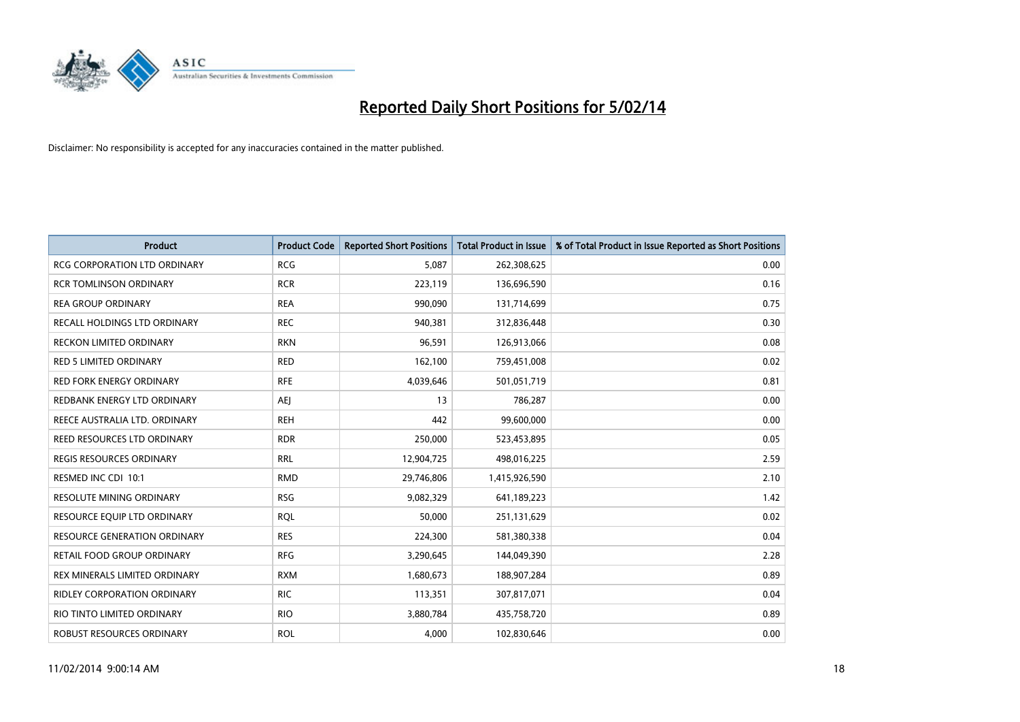

| <b>Product</b>                      | <b>Product Code</b> | <b>Reported Short Positions</b> | <b>Total Product in Issue</b> | % of Total Product in Issue Reported as Short Positions |
|-------------------------------------|---------------------|---------------------------------|-------------------------------|---------------------------------------------------------|
| <b>RCG CORPORATION LTD ORDINARY</b> | <b>RCG</b>          | 5,087                           | 262,308,625                   | 0.00                                                    |
| <b>RCR TOMLINSON ORDINARY</b>       | <b>RCR</b>          | 223,119                         | 136,696,590                   | 0.16                                                    |
| <b>REA GROUP ORDINARY</b>           | <b>REA</b>          | 990,090                         | 131,714,699                   | 0.75                                                    |
| RECALL HOLDINGS LTD ORDINARY        | <b>REC</b>          | 940,381                         | 312,836,448                   | 0.30                                                    |
| <b>RECKON LIMITED ORDINARY</b>      | <b>RKN</b>          | 96,591                          | 126,913,066                   | 0.08                                                    |
| <b>RED 5 LIMITED ORDINARY</b>       | <b>RED</b>          | 162,100                         | 759,451,008                   | 0.02                                                    |
| <b>RED FORK ENERGY ORDINARY</b>     | <b>RFE</b>          | 4,039,646                       | 501,051,719                   | 0.81                                                    |
| REDBANK ENERGY LTD ORDINARY         | <b>AEJ</b>          | 13                              | 786,287                       | 0.00                                                    |
| REECE AUSTRALIA LTD. ORDINARY       | <b>REH</b>          | 442                             | 99,600,000                    | 0.00                                                    |
| <b>REED RESOURCES LTD ORDINARY</b>  | <b>RDR</b>          | 250,000                         | 523,453,895                   | 0.05                                                    |
| <b>REGIS RESOURCES ORDINARY</b>     | <b>RRL</b>          | 12,904,725                      | 498,016,225                   | 2.59                                                    |
| RESMED INC CDI 10:1                 | <b>RMD</b>          | 29,746,806                      | 1,415,926,590                 | 2.10                                                    |
| RESOLUTE MINING ORDINARY            | <b>RSG</b>          | 9,082,329                       | 641,189,223                   | 1.42                                                    |
| RESOURCE EQUIP LTD ORDINARY         | <b>RQL</b>          | 50,000                          | 251,131,629                   | 0.02                                                    |
| <b>RESOURCE GENERATION ORDINARY</b> | <b>RES</b>          | 224,300                         | 581,380,338                   | 0.04                                                    |
| RETAIL FOOD GROUP ORDINARY          | <b>RFG</b>          | 3,290,645                       | 144,049,390                   | 2.28                                                    |
| REX MINERALS LIMITED ORDINARY       | <b>RXM</b>          | 1,680,673                       | 188,907,284                   | 0.89                                                    |
| RIDLEY CORPORATION ORDINARY         | <b>RIC</b>          | 113,351                         | 307,817,071                   | 0.04                                                    |
| RIO TINTO LIMITED ORDINARY          | <b>RIO</b>          | 3,880,784                       | 435,758,720                   | 0.89                                                    |
| ROBUST RESOURCES ORDINARY           | <b>ROL</b>          | 4,000                           | 102,830,646                   | 0.00                                                    |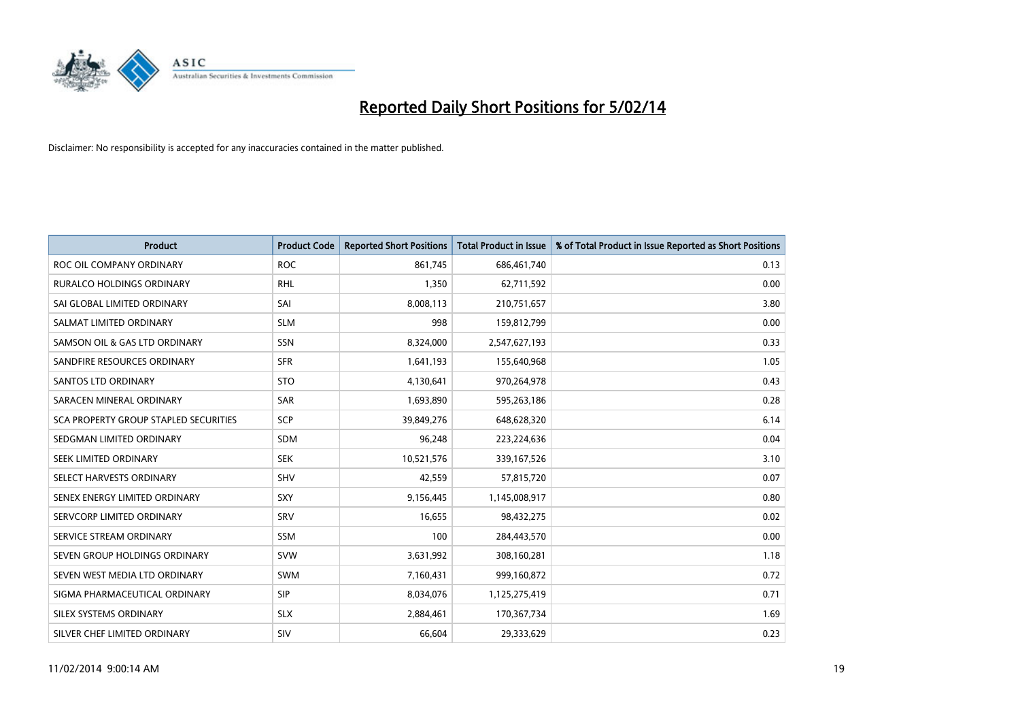

| <b>Product</b>                        | <b>Product Code</b> | <b>Reported Short Positions</b> | <b>Total Product in Issue</b> | % of Total Product in Issue Reported as Short Positions |
|---------------------------------------|---------------------|---------------------------------|-------------------------------|---------------------------------------------------------|
| ROC OIL COMPANY ORDINARY              | <b>ROC</b>          | 861,745                         | 686,461,740                   | 0.13                                                    |
| <b>RURALCO HOLDINGS ORDINARY</b>      | <b>RHL</b>          | 1,350                           | 62,711,592                    | 0.00                                                    |
| SAI GLOBAL LIMITED ORDINARY           | SAI                 | 8,008,113                       | 210,751,657                   | 3.80                                                    |
| SALMAT LIMITED ORDINARY               | <b>SLM</b>          | 998                             | 159,812,799                   | 0.00                                                    |
| SAMSON OIL & GAS LTD ORDINARY         | SSN                 | 8,324,000                       | 2,547,627,193                 | 0.33                                                    |
| SANDFIRE RESOURCES ORDINARY           | <b>SFR</b>          | 1,641,193                       | 155,640,968                   | 1.05                                                    |
| SANTOS LTD ORDINARY                   | <b>STO</b>          | 4,130,641                       | 970,264,978                   | 0.43                                                    |
| SARACEN MINERAL ORDINARY              | SAR                 | 1,693,890                       | 595,263,186                   | 0.28                                                    |
| SCA PROPERTY GROUP STAPLED SECURITIES | <b>SCP</b>          | 39,849,276                      | 648,628,320                   | 6.14                                                    |
| SEDGMAN LIMITED ORDINARY              | <b>SDM</b>          | 96,248                          | 223,224,636                   | 0.04                                                    |
| SEEK LIMITED ORDINARY                 | <b>SEK</b>          | 10,521,576                      | 339,167,526                   | 3.10                                                    |
| SELECT HARVESTS ORDINARY              | SHV                 | 42,559                          | 57,815,720                    | 0.07                                                    |
| SENEX ENERGY LIMITED ORDINARY         | <b>SXY</b>          | 9,156,445                       | 1,145,008,917                 | 0.80                                                    |
| SERVCORP LIMITED ORDINARY             | SRV                 | 16,655                          | 98,432,275                    | 0.02                                                    |
| SERVICE STREAM ORDINARY               | <b>SSM</b>          | 100                             | 284,443,570                   | 0.00                                                    |
| SEVEN GROUP HOLDINGS ORDINARY         | <b>SVW</b>          | 3,631,992                       | 308,160,281                   | 1.18                                                    |
| SEVEN WEST MEDIA LTD ORDINARY         | SWM                 | 7,160,431                       | 999,160,872                   | 0.72                                                    |
| SIGMA PHARMACEUTICAL ORDINARY         | <b>SIP</b>          | 8,034,076                       | 1,125,275,419                 | 0.71                                                    |
| SILEX SYSTEMS ORDINARY                | <b>SLX</b>          | 2,884,461                       | 170,367,734                   | 1.69                                                    |
| SILVER CHEF LIMITED ORDINARY          | SIV                 | 66,604                          | 29,333,629                    | 0.23                                                    |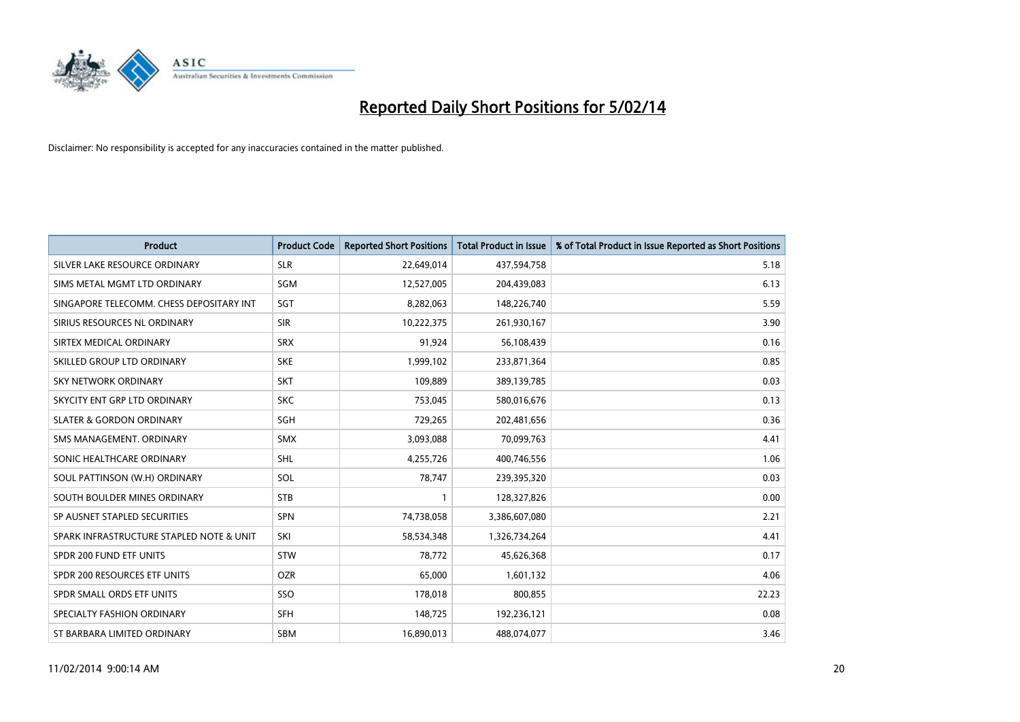

| <b>Product</b>                           | <b>Product Code</b> | <b>Reported Short Positions</b> | <b>Total Product in Issue</b> | % of Total Product in Issue Reported as Short Positions |
|------------------------------------------|---------------------|---------------------------------|-------------------------------|---------------------------------------------------------|
| SILVER LAKE RESOURCE ORDINARY            | <b>SLR</b>          | 22,649,014                      | 437,594,758                   | 5.18                                                    |
| SIMS METAL MGMT LTD ORDINARY             | SGM                 | 12,527,005                      | 204,439,083                   | 6.13                                                    |
| SINGAPORE TELECOMM. CHESS DEPOSITARY INT | SGT                 | 8,282,063                       | 148,226,740                   | 5.59                                                    |
| SIRIUS RESOURCES NL ORDINARY             | <b>SIR</b>          | 10,222,375                      | 261,930,167                   | 3.90                                                    |
| SIRTEX MEDICAL ORDINARY                  | <b>SRX</b>          | 91,924                          | 56,108,439                    | 0.16                                                    |
| SKILLED GROUP LTD ORDINARY               | <b>SKE</b>          | 1,999,102                       | 233,871,364                   | 0.85                                                    |
| <b>SKY NETWORK ORDINARY</b>              | <b>SKT</b>          | 109.889                         | 389,139,785                   | 0.03                                                    |
| SKYCITY ENT GRP LTD ORDINARY             | <b>SKC</b>          | 753,045                         | 580,016,676                   | 0.13                                                    |
| <b>SLATER &amp; GORDON ORDINARY</b>      | SGH                 | 729,265                         | 202,481,656                   | 0.36                                                    |
| SMS MANAGEMENT, ORDINARY                 | <b>SMX</b>          | 3,093,088                       | 70,099,763                    | 4.41                                                    |
| SONIC HEALTHCARE ORDINARY                | <b>SHL</b>          | 4,255,726                       | 400,746,556                   | 1.06                                                    |
| SOUL PATTINSON (W.H) ORDINARY            | SOL                 | 78,747                          | 239,395,320                   | 0.03                                                    |
| SOUTH BOULDER MINES ORDINARY             | <b>STB</b>          | 1                               | 128,327,826                   | 0.00                                                    |
| SP AUSNET STAPLED SECURITIES             | SPN                 | 74,738,058                      | 3,386,607,080                 | 2.21                                                    |
| SPARK INFRASTRUCTURE STAPLED NOTE & UNIT | SKI                 | 58,534,348                      | 1,326,734,264                 | 4.41                                                    |
| SPDR 200 FUND ETF UNITS                  | <b>STW</b>          | 78,772                          | 45,626,368                    | 0.17                                                    |
| SPDR 200 RESOURCES ETF UNITS             | <b>OZR</b>          | 65,000                          | 1,601,132                     | 4.06                                                    |
| SPDR SMALL ORDS ETF UNITS                | SSO                 | 178,018                         | 800,855                       | 22.23                                                   |
| SPECIALTY FASHION ORDINARY               | <b>SFH</b>          | 148,725                         | 192,236,121                   | 0.08                                                    |
| ST BARBARA LIMITED ORDINARY              | <b>SBM</b>          | 16.890.013                      | 488.074.077                   | 3.46                                                    |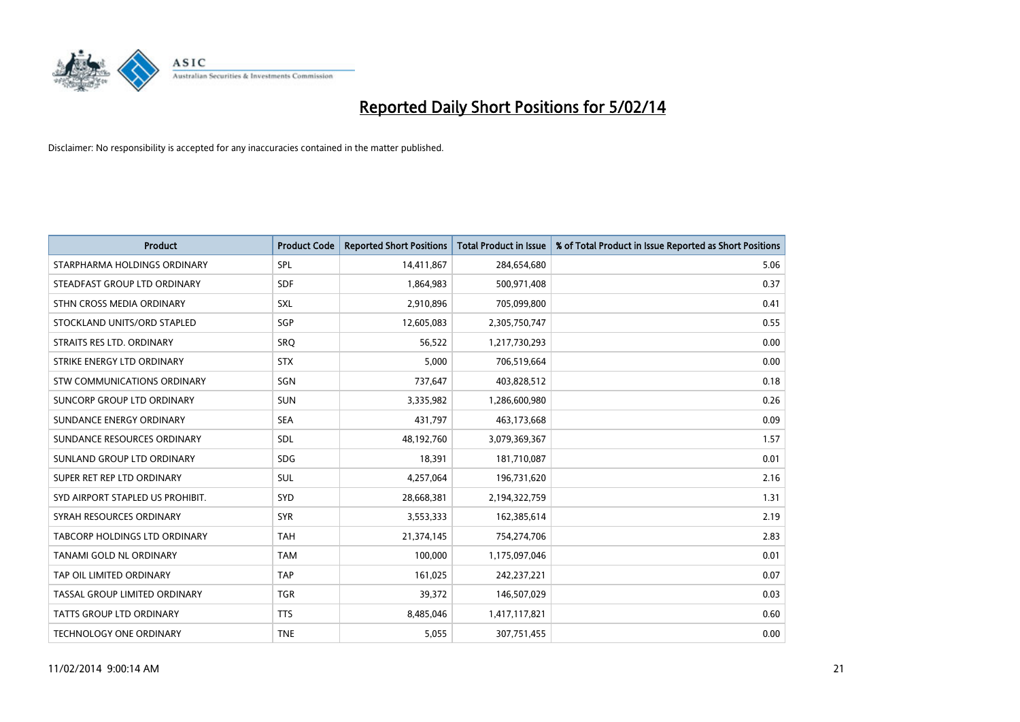

| <b>Product</b>                   | <b>Product Code</b> | <b>Reported Short Positions</b> | <b>Total Product in Issue</b> | % of Total Product in Issue Reported as Short Positions |
|----------------------------------|---------------------|---------------------------------|-------------------------------|---------------------------------------------------------|
| STARPHARMA HOLDINGS ORDINARY     | <b>SPL</b>          | 14,411,867                      | 284,654,680                   | 5.06                                                    |
| STEADFAST GROUP LTD ORDINARY     | <b>SDF</b>          | 1,864,983                       | 500,971,408                   | 0.37                                                    |
| STHN CROSS MEDIA ORDINARY        | <b>SXL</b>          | 2,910,896                       | 705,099,800                   | 0.41                                                    |
| STOCKLAND UNITS/ORD STAPLED      | SGP                 | 12,605,083                      | 2,305,750,747                 | 0.55                                                    |
| STRAITS RES LTD. ORDINARY        | SRO                 | 56,522                          | 1,217,730,293                 | 0.00                                                    |
| STRIKE ENERGY LTD ORDINARY       | <b>STX</b>          | 5,000                           | 706,519,664                   | 0.00                                                    |
| STW COMMUNICATIONS ORDINARY      | SGN                 | 737,647                         | 403,828,512                   | 0.18                                                    |
| SUNCORP GROUP LTD ORDINARY       | <b>SUN</b>          | 3,335,982                       | 1,286,600,980                 | 0.26                                                    |
| SUNDANCE ENERGY ORDINARY         | <b>SEA</b>          | 431,797                         | 463,173,668                   | 0.09                                                    |
| SUNDANCE RESOURCES ORDINARY      | <b>SDL</b>          | 48,192,760                      | 3,079,369,367                 | 1.57                                                    |
| SUNLAND GROUP LTD ORDINARY       | <b>SDG</b>          | 18,391                          | 181,710,087                   | 0.01                                                    |
| SUPER RET REP LTD ORDINARY       | SUL                 | 4,257,064                       | 196,731,620                   | 2.16                                                    |
| SYD AIRPORT STAPLED US PROHIBIT. | <b>SYD</b>          | 28,668,381                      | 2,194,322,759                 | 1.31                                                    |
| SYRAH RESOURCES ORDINARY         | <b>SYR</b>          | 3,553,333                       | 162,385,614                   | 2.19                                                    |
| TABCORP HOLDINGS LTD ORDINARY    | <b>TAH</b>          | 21,374,145                      | 754,274,706                   | 2.83                                                    |
| TANAMI GOLD NL ORDINARY          | <b>TAM</b>          | 100,000                         | 1,175,097,046                 | 0.01                                                    |
| TAP OIL LIMITED ORDINARY         | <b>TAP</b>          | 161,025                         | 242,237,221                   | 0.07                                                    |
| TASSAL GROUP LIMITED ORDINARY    | <b>TGR</b>          | 39,372                          | 146,507,029                   | 0.03                                                    |
| <b>TATTS GROUP LTD ORDINARY</b>  | <b>TTS</b>          | 8,485,046                       | 1,417,117,821                 | 0.60                                                    |
| TECHNOLOGY ONE ORDINARY          | <b>TNE</b>          | 5,055                           | 307,751,455                   | 0.00                                                    |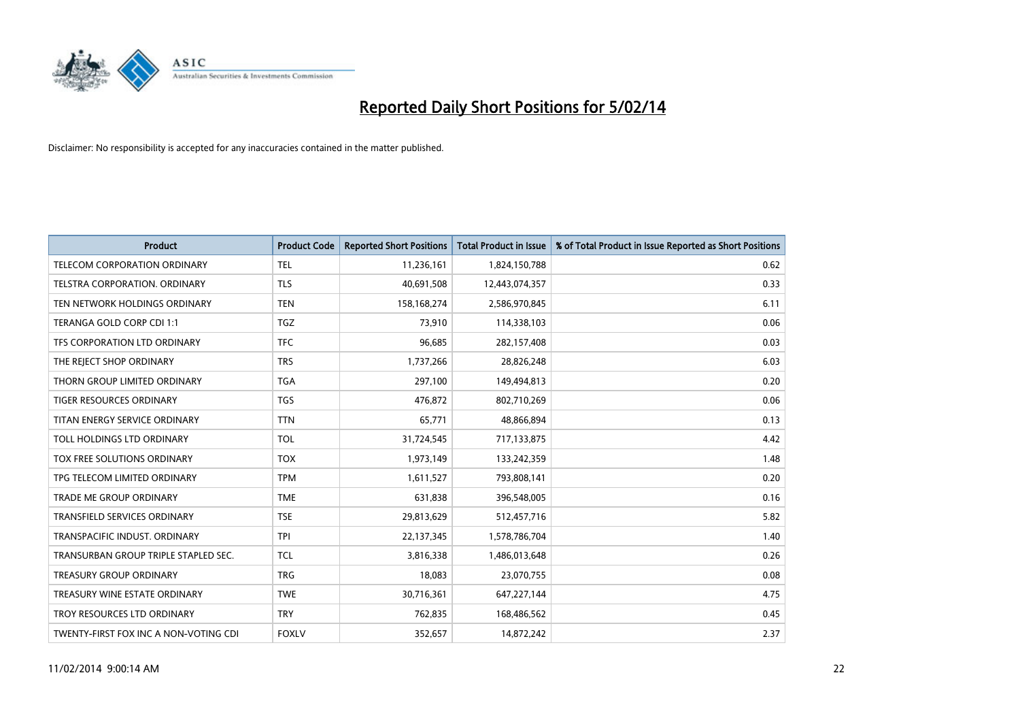

| <b>Product</b>                        | <b>Product Code</b> | <b>Reported Short Positions</b> | <b>Total Product in Issue</b> | % of Total Product in Issue Reported as Short Positions |
|---------------------------------------|---------------------|---------------------------------|-------------------------------|---------------------------------------------------------|
| <b>TELECOM CORPORATION ORDINARY</b>   | <b>TEL</b>          | 11,236,161                      | 1,824,150,788                 | 0.62                                                    |
| TELSTRA CORPORATION. ORDINARY         | <b>TLS</b>          | 40,691,508                      | 12,443,074,357                | 0.33                                                    |
| TEN NETWORK HOLDINGS ORDINARY         | <b>TEN</b>          | 158,168,274                     | 2,586,970,845                 | 6.11                                                    |
| TERANGA GOLD CORP CDI 1:1             | <b>TGZ</b>          | 73,910                          | 114,338,103                   | 0.06                                                    |
| TFS CORPORATION LTD ORDINARY          | <b>TFC</b>          | 96,685                          | 282,157,408                   | 0.03                                                    |
| THE REJECT SHOP ORDINARY              | <b>TRS</b>          | 1,737,266                       | 28,826,248                    | 6.03                                                    |
| THORN GROUP LIMITED ORDINARY          | <b>TGA</b>          | 297,100                         | 149,494,813                   | 0.20                                                    |
| TIGER RESOURCES ORDINARY              | <b>TGS</b>          | 476,872                         | 802,710,269                   | 0.06                                                    |
| TITAN ENERGY SERVICE ORDINARY         | <b>TTN</b>          | 65,771                          | 48,866,894                    | 0.13                                                    |
| TOLL HOLDINGS LTD ORDINARY            | <b>TOL</b>          | 31,724,545                      | 717,133,875                   | 4.42                                                    |
| TOX FREE SOLUTIONS ORDINARY           | <b>TOX</b>          | 1,973,149                       | 133,242,359                   | 1.48                                                    |
| TPG TELECOM LIMITED ORDINARY          | <b>TPM</b>          | 1,611,527                       | 793,808,141                   | 0.20                                                    |
| <b>TRADE ME GROUP ORDINARY</b>        | <b>TME</b>          | 631,838                         | 396,548,005                   | 0.16                                                    |
| <b>TRANSFIELD SERVICES ORDINARY</b>   | <b>TSE</b>          | 29,813,629                      | 512,457,716                   | 5.82                                                    |
| TRANSPACIFIC INDUST, ORDINARY         | <b>TPI</b>          | 22,137,345                      | 1,578,786,704                 | 1.40                                                    |
| TRANSURBAN GROUP TRIPLE STAPLED SEC.  | <b>TCL</b>          | 3,816,338                       | 1,486,013,648                 | 0.26                                                    |
| <b>TREASURY GROUP ORDINARY</b>        | <b>TRG</b>          | 18,083                          | 23,070,755                    | 0.08                                                    |
| TREASURY WINE ESTATE ORDINARY         | <b>TWE</b>          | 30,716,361                      | 647,227,144                   | 4.75                                                    |
| TROY RESOURCES LTD ORDINARY           | <b>TRY</b>          | 762,835                         | 168,486,562                   | 0.45                                                    |
| TWENTY-FIRST FOX INC A NON-VOTING CDI | <b>FOXLV</b>        | 352,657                         | 14,872,242                    | 2.37                                                    |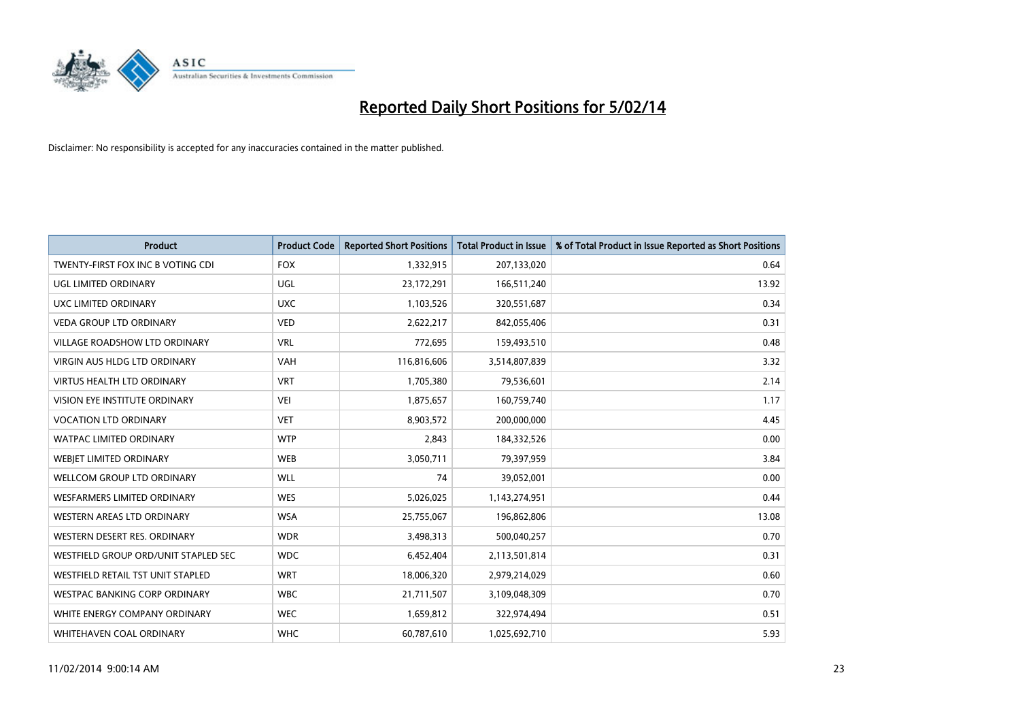

| <b>Product</b>                       | <b>Product Code</b> | <b>Reported Short Positions</b> | <b>Total Product in Issue</b> | % of Total Product in Issue Reported as Short Positions |
|--------------------------------------|---------------------|---------------------------------|-------------------------------|---------------------------------------------------------|
| TWENTY-FIRST FOX INC B VOTING CDI    | <b>FOX</b>          | 1,332,915                       | 207,133,020                   | 0.64                                                    |
| UGL LIMITED ORDINARY                 | UGL                 | 23,172,291                      | 166,511,240                   | 13.92                                                   |
| UXC LIMITED ORDINARY                 | <b>UXC</b>          | 1,103,526                       | 320,551,687                   | 0.34                                                    |
| <b>VEDA GROUP LTD ORDINARY</b>       | <b>VED</b>          | 2,622,217                       | 842,055,406                   | 0.31                                                    |
| <b>VILLAGE ROADSHOW LTD ORDINARY</b> | <b>VRL</b>          | 772,695                         | 159,493,510                   | 0.48                                                    |
| <b>VIRGIN AUS HLDG LTD ORDINARY</b>  | <b>VAH</b>          | 116,816,606                     | 3,514,807,839                 | 3.32                                                    |
| <b>VIRTUS HEALTH LTD ORDINARY</b>    | <b>VRT</b>          | 1,705,380                       | 79,536,601                    | 2.14                                                    |
| <b>VISION EYE INSTITUTE ORDINARY</b> | <b>VEI</b>          | 1,875,657                       | 160,759,740                   | 1.17                                                    |
| VOCATION LTD ORDINARY                | <b>VET</b>          | 8,903,572                       | 200,000,000                   | 4.45                                                    |
| <b>WATPAC LIMITED ORDINARY</b>       | <b>WTP</b>          | 2,843                           | 184,332,526                   | 0.00                                                    |
| WEBIET LIMITED ORDINARY              | <b>WEB</b>          | 3,050,711                       | 79,397,959                    | 3.84                                                    |
| <b>WELLCOM GROUP LTD ORDINARY</b>    | <b>WLL</b>          | 74                              | 39,052,001                    | 0.00                                                    |
| <b>WESFARMERS LIMITED ORDINARY</b>   | <b>WES</b>          | 5,026,025                       | 1,143,274,951                 | 0.44                                                    |
| <b>WESTERN AREAS LTD ORDINARY</b>    | <b>WSA</b>          | 25,755,067                      | 196,862,806                   | 13.08                                                   |
| WESTERN DESERT RES. ORDINARY         | <b>WDR</b>          | 3,498,313                       | 500,040,257                   | 0.70                                                    |
| WESTFIELD GROUP ORD/UNIT STAPLED SEC | <b>WDC</b>          | 6,452,404                       | 2,113,501,814                 | 0.31                                                    |
| WESTFIELD RETAIL TST UNIT STAPLED    | <b>WRT</b>          | 18,006,320                      | 2,979,214,029                 | 0.60                                                    |
| <b>WESTPAC BANKING CORP ORDINARY</b> | <b>WBC</b>          | 21,711,507                      | 3,109,048,309                 | 0.70                                                    |
| WHITE ENERGY COMPANY ORDINARY        | <b>WEC</b>          | 1,659,812                       | 322,974,494                   | 0.51                                                    |
| WHITEHAVEN COAL ORDINARY             | <b>WHC</b>          | 60,787,610                      | 1,025,692,710                 | 5.93                                                    |